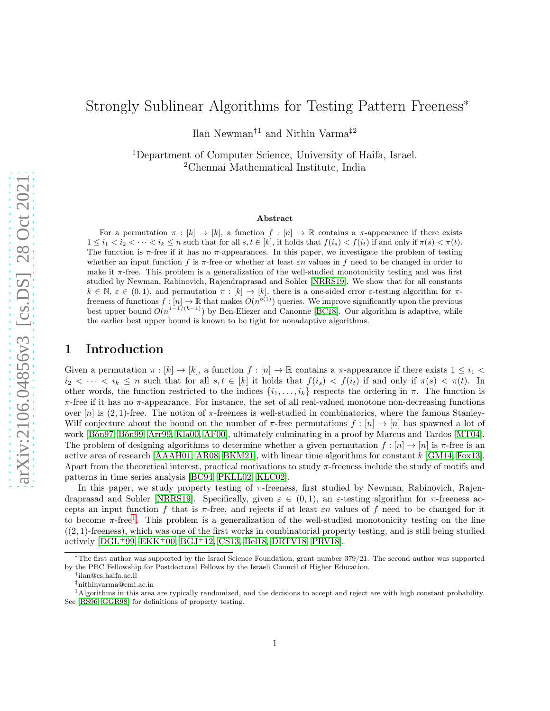# Strongly Sublinear Algorithms for Testing Pattern Freeness<sup>\*</sup>

Ilan Newman†1 and Nithin Varma‡2

<sup>1</sup>Department of Computer Science, University of Haifa, Israel. <sup>2</sup>Chennai Mathematical Institute, India

#### Abstract

For a permutation  $\pi : [k] \to [k]$ , a function  $f : [n] \to \mathbb{R}$  contains a  $\pi$ -appearance if there exists  $1 \leq i_1 < i_2 < \cdots < i_k \leq n$  such that for all  $s, t \in [k]$ , it holds that  $f(i_s) < f(i_t)$  if and only if  $\pi(s) < \pi(t)$ . The function is  $\pi$ -free if it has no  $\pi$ -appearances. In this paper, we investigate the problem of testing whether an input function f is  $\pi$ -free or whether at least  $\varepsilon n$  values in f need to be changed in order to make it  $\pi$ -free. This problem is a generalization of the well-studied monotonicity testing and was first studied by Newman, Rabinovich, Rajendraprasad and Sohler [\[NRRS19\]](#page-23-0). We show that for all constants  $k \in \mathbb{N}, \varepsilon \in (0, 1)$ , and permutation  $\pi : [k] \to [k]$ , there is a one-sided error  $\varepsilon$ -testing algorithm for  $\pi$ freeness of functions  $f:[n] \to \mathbb{R}$  that makes  $\tilde{O}(n^{o(1)})$  queries. We improve significantly upon the previous best upper bound  $O(n^{1-1/(k-1)})$  by Ben-Eliezer and Canonne [\[BC18\]](#page-21-0). Our algorithm is adaptive, while the earlier best upper bound is known to be tight for nonadaptive algorithms.

# 1 Introduction

Given a permutation  $\pi : [k] \to [k]$ , a function  $f : [n] \to \mathbb{R}$  contains a  $\pi$ -appearance if there exists  $1 \leq i_1 <$  $i_2 < \cdots < i_k \leq n$  such that for all  $s, t \in [k]$  it holds that  $f(i_s) < f(i_t)$  if and only if  $\pi(s) < \pi(t)$ . In other words, the function restricted to the indices  $\{i_1, \ldots, i_k\}$  respects the ordering in  $\pi$ . The function is  $\pi$ -free if it has no  $\pi$ -appearance. For instance, the set of all real-valued monotone non-decreasing functions over  $[n]$  is  $(2, 1)$ -free. The notion of  $\pi$ -freeness is well-studied in combinatorics, where the famous Stanley-Wilf conjecture about the bound on the number of  $\pi$ -free permutations  $f : [n] \to [n]$  has spawned a lot of work [\[Bón97,](#page-22-0) [Bón99,](#page-22-1) [Arr99,](#page-21-1) [Kla00,](#page-22-2) [AF00\]](#page-21-2), ultimately culminating in a proof by Marcus and Tardos [\[MT04\]](#page-23-1). The problem of designing algorithms to determine whether a given permutation  $f : [n] \to [n]$  is  $\pi$ -free is an active area of research [\[AAAH01,](#page-21-3) [AR08,](#page-21-4) [BKM21\]](#page-22-3), with linear time algorithms for constant k [\[GM14,](#page-22-4) [Fox13\]](#page-22-5). Apart from the theoretical interest, practical motivations to study  $\pi$ -freeness include the study of motifs and patterns in time series analysis [BC94, PKLL02, KLC02].

In this paper, we study property testing of  $\pi$ -freeness, first studied by Newman, Rabinovich, Rajen-draprasad and Sohler [\[NRRS19\]](#page-23-0). Specifically, given  $\varepsilon \in (0,1)$ , an  $\varepsilon$ -testing algorithm for  $\pi$ -freeness accepts an input function f that is  $\pi$ -free, and rejects if at least  $\varepsilon n$  values of f need to be changed for it to become  $\pi$ -free<sup>[1](#page-0-0)</sup>. This problem is a generalization of the well-studied monotonicity testing on the line  $(2, 1)$ -freeness), which was one of the first works in combinatorial property testing, and is still being studied actively  $[DGL+99, EKK+00, BGJ+12, CS13, Bell8, DRTV18, PRV18].$  $[DGL+99, EKK+00, BGJ+12, CS13, Bell8, DRTV18, PRV18].$  $[DGL+99, EKK+00, BGJ+12, CS13, Bell8, DRTV18, PRV18].$  $[DGL+99, EKK+00, BGJ+12, CS13, Bell8, DRTV18, PRV18].$  $[DGL+99, EKK+00, BGJ+12, CS13, Bell8, DRTV18, PRV18].$  $[DGL+99, EKK+00, BGJ+12, CS13, Bell8, DRTV18, PRV18].$  $[DGL+99, EKK+00, BGJ+12, CS13, Bell8, DRTV18, PRV18].$  $[DGL+99, EKK+00, BGJ+12, CS13, Bell8, DRTV18, PRV18].$  $[DGL+99, EKK+00, BGJ+12, CS13, Bell8, DRTV18, PRV18].$  $[DGL+99, EKK+00, BGJ+12, CS13, Bell8, DRTV18, PRV18].$ 

<sup>∗</sup>The first author was supported by the Israel Science Foundation, grant number 379/21. The second author was supported by the PBC Fellowship for Postdoctoral Fellows by the Israeli Council of Higher Education.

<sup>†</sup> ilan@cs.haifa.ac.il

<span id="page-0-0"></span><sup>‡</sup>nithinvarma@cmi.ac.in

<sup>&</sup>lt;sup>1</sup>Algorithms in this area are typically randomized, and the decisions to accept and reject are with high constant probability. See [\[RS96,](#page-23-3) [GGR98\]](#page-22-12) for definitions of property testing.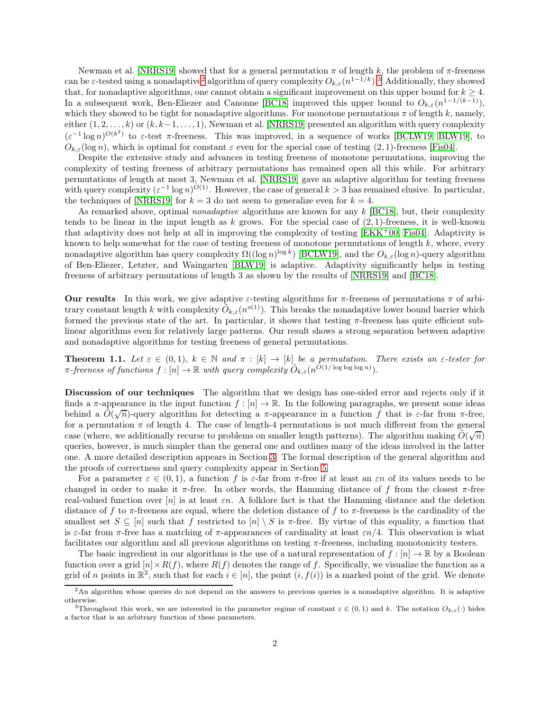Newman et al. [\[NRRS19\]](#page-23-0) showed that for a general permutation  $\pi$  of length k, the problem of  $\pi$ -freeness can be  $\varepsilon$ -tested using a nonadaptive<sup>[2](#page-1-0)</sup> algorithm of query complexity  $O_{k,\varepsilon}(n^{1-\frac{1}{k}})$ .<sup>[3](#page-1-1)</sup> Additionally, they showed that, for nonadaptive algorithms, one cannot obtain a significant improvement on this upper bound for  $k \geq 4$ . In a subsequent work, Ben-Eliezer and Canonne [\[BC18\]](#page-21-0) improved this upper bound to  $O_{k,\varepsilon}(n^{1-1/(k-1)}),$ which they showed to be tight for nonadaptive algorithms. For monotone permutations  $\pi$  of length k, namely, either  $(1, 2, \ldots, k)$  or  $(k, k-1, \ldots, 1)$ , Newman et al. [\[NRRS19\]](#page-23-0) presented an algorithm with query complexity  $(\varepsilon^{-1} \log n)^{O(k^2)}$  to  $\varepsilon$ -test  $\pi$ -freeness. This was improved, in a sequence of works [\[BCLW19,](#page-22-13) [BLW19\]](#page-22-14), to  $O_{k,\varepsilon}(\log n)$ , which is optimal for constant  $\varepsilon$  even for the special case of testing  $(2,1)$ -freeness [\[Fis04\]](#page-22-15).

Despite the extensive study and advances in testing freeness of monotone permutations, improving the complexity of testing freeness of arbitrary permutations has remained open all this while. For arbitrary permutations of length at most 3, Newman et al. [\[NRRS19\]](#page-23-0) gave an adaptive algorithm for testing freeness with query complexity  $(\varepsilon^{-1} \log n)^{O(1)}$ . However, the case of general  $k > 3$  has remained elusive. In particular, the techniques of [\[NRRS19\]](#page-23-0) for  $k = 3$  do not seem to generalize even for  $k = 4$ .

As remarked above, optimal *nonadaptive* algorithms are known for any k [\[BC18\]](#page-21-0), but, their complexity tends to be linear in the input length as k grows. For the special case of  $(2, 1)$ -freeness, it is well-known that adaptivity does not help at all in improving the complexity of testing  $[EKK<sup>+</sup>00, Fis04]$  $[EKK<sup>+</sup>00, Fis04]$ . Adaptivity is known to help somewhat for the case of testing freeness of monotone permutations of length  $k$ , where, every nonadaptive algorithm has query complexity  $\Omega((\log n)^{\log k})$  [\[BCLW19\]](#page-22-13), and the  $O_{k,\varepsilon}(\log n)$ -query algorithm of Ben-Eliezer, Letzter, and Waingarten [\[BLW19\]](#page-22-14) is adaptive. Adaptivity significantly helps in testing freeness of arbitrary permutations of length 3 as shown by the results of [\[NRRS19\]](#page-23-0) and [\[BC18\]](#page-21-0).

Our results In this work, we give adaptive  $\varepsilon$ -testing algorithms for  $\pi$ -freeness of permutations  $\pi$  of arbitrary constant length k with complexity  $\tilde{O}_{k,\varepsilon}(n^{o(1)})$ . This breaks the nonadaptive lower bound barrier which formed the previous state of the art. In particular, it shows that testing  $\pi$ -freeness has quite efficient sublinear algorithms even for relatively large patterns. Our result shows a strong separation between adaptive and nonadaptive algorithms for testing freeness of general permutations.

<span id="page-1-2"></span>**Theorem 1.1.** Let  $\varepsilon \in (0,1)$ ,  $k \in \mathbb{N}$  and  $\pi : [k] \to [k]$  be a permutation. There exists an  $\varepsilon$ -tester for  $\pi$ -freeness of functions  $f: [n] \to \mathbb{R}$  with query complexity  $\widetilde{O}_{k,\varepsilon}(n^{O(1/\log\log\log n)})$ .

Discussion of our techniques The algorithm that we design has one-sided error and rejects only if it finds a  $\pi$ -appearance in the input function  $f : [n] \to \mathbb{R}$ . In the following paragraphs, we present some ideas behind a  $\tilde{O}(\sqrt{n})$ -query algorithm for detecting a  $\pi$ -appearance in a function f that is  $\varepsilon$ -far from  $\pi$ -free, for a permutation  $\pi$  of length 4. The case of length-4 permutations is not much different from the general case (where, we additionally recurse to problems on smaller length patterns). The algorithm making  $\tilde{O}(\sqrt{n})$ queries, however, is much simpler than the general one and outlines many of the ideas involved in the latter one. A more detailed description appears in Section [3.](#page-9-0) The formal description of the general algorithm and the proofs of correctness and query complexity appear in Section [5.](#page-14-0)

For a parameter  $\varepsilon \in (0,1)$ , a function f is  $\varepsilon$ -far from  $\pi$ -free if at least an  $\varepsilon n$  of its values needs to be changed in order to make it  $\pi$ -free. In other words, the Hamming distance of f from the closest  $\pi$ -free real-valued function over  $[n]$  is at least  $\varepsilon n$ . A folklore fact is that the Hamming distance and the deletion distance of f to  $\pi$ -freeness are equal, where the deletion distance of f to  $\pi$ -freeness is the cardinality of the smallest set  $S \subseteq [n]$  such that f restricted to  $[n] \setminus S$  is  $\pi$ -free. By virtue of this equality, a function that is  $\varepsilon$ -far from  $\pi$ -free has a matching of  $\pi$ -appearances of cardinality at least  $\varepsilon n/4$ . This observation is what facilitates our algorithm and all previous algorithms on testing  $\pi$ -freeness, including monotonicity testers.

The basic ingredient in our algorithms is the use of a natural representation of  $f : [n] \to \mathbb{R}$  by a Boolean function over a grid  $[n] \times R(f)$ , where  $R(f)$  denotes the range of f. Specifically, we visualize the function as a grid of n points in  $\mathbb{R}^2$ , such that for each  $i \in [n]$ , the point  $(i, f(i))$  is a marked point of the grid. We denote

<sup>2</sup>An algorithm whose queries do not depend on the answers to previous queries is a nonadaptive algorithm. It is adaptive otherwise.

<span id="page-1-1"></span><span id="page-1-0"></span><sup>&</sup>lt;sup>3</sup>Throughout this work, we are interested in the parameter regime of constant  $\varepsilon \in (0,1)$  and k. The notation  $O_{k,\varepsilon}(\cdot)$  hides a factor that is an arbitrary function of these parameters.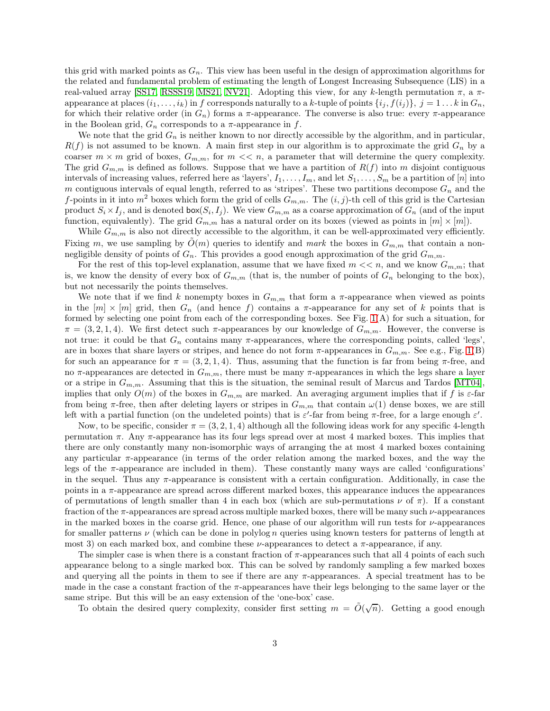this grid with marked points as  $G_n$ . This view has been useful in the design of approximation algorithms for the related and fundamental problem of estimating the length of Longest Increasing Subsequence (LIS) in a real-valued array [\[SS17,](#page-23-4) [RSSS19,](#page-23-5) [MS21,](#page-23-6) [NV21\]](#page-23-7). Adopting this view, for any k-length permutation π, a πappearance at places  $(i_1, \ldots, i_k)$  in f corresponds naturally to a k-tuple of points  $\{i_j, f(i_j)\}, j = 1 \ldots k$  in  $G_n$ , for which their relative order (in  $G_n$ ) forms a  $\pi$ -appearance. The converse is also true: every  $\pi$ -appearance in the Boolean grid,  $G_n$  corresponds to a  $\pi$ -appearance in f.

We note that the grid  $G_n$  is neither known to nor directly accessible by the algorithm, and in particular,  $R(f)$  is not assumed to be known. A main first step in our algorithm is to approximate the grid  $G_n$  by a coarser  $m \times m$  grid of boxes,  $G_{m,m}$ , for  $m \ll n$ , a parameter that will determine the query complexity. The grid  $G_{m,m}$  is defined as follows. Suppose that we have a partition of  $R(f)$  into m disjoint contiguous intervals of increasing values, referred here as 'layers',  $I_1, \ldots, I_m$ , and let  $S_1, \ldots, S_m$  be a partition of [n] into m contiguous intervals of equal length, referred to as 'stripes'. These two partitions decompose  $G_n$  and the f-points in it into  $m^2$  boxes which form the grid of cells  $G_{m,m}$ . The  $(i, j)$ -th cell of this grid is the Cartesian product  $S_i \times I_j$ , and is denoted  $\textsf{box}(S_i, I_j)$ . We view  $G_{m,m}$  as a coarse approximation of  $G_n$  (and of the input function, equivalently). The grid  $G_{m,m}$  has a natural order on its boxes (viewed as points in  $[m] \times [m]$ ).

While  $G_{m,m}$  is also not directly accessible to the algorithm, it can be well-approximated very efficiently. Fixing m, we use sampling by  $O(m)$  queries to identify and mark the boxes in  $G_{m,m}$  that contain a nonnegligible density of points of  $G_n$ . This provides a good enough approximation of the grid  $G_{m,m}$ .

For the rest of this top-level explanation, assume that we have fixed  $m \ll n$ , and we know  $G_{m,m}$ ; that is, we know the density of every box of  $G_{m,m}$  (that is, the number of points of  $G_n$  belonging to the box), but not necessarily the points themselves.

We note that if we find k nonempty boxes in  $G_{m,m}$  that form a  $\pi$ -appearance when viewed as points in the  $[m] \times [m]$  grid, then  $G_n$  (and hence f) contains a  $\pi$ -appearance for any set of k points that is formed by selecting one point from each of the corresponding boxes. See Fig. [1\(](#page-7-0)A) for such a situation, for  $\pi = (3, 2, 1, 4)$ . We first detect such  $\pi$ -appearances by our knowledge of  $G_{m,m}$ . However, the converse is not true: it could be that  $G_n$  contains many  $\pi$ -appearances, where the corresponding points, called 'legs', are in boxes that share layers or stripes, and hence do not form  $\pi$ -appearances in  $G_{m,m}$ . See e.g., Fig. [1\(](#page-7-0)B) for such an appearance for  $\pi = (3, 2, 1, 4)$ . Thus, assuming that the function is far from being  $\pi$ -free, and no π-appearances are detected in  $G_{m,m}$ , there must be many π-appearances in which the legs share a layer or a stripe in  $G_{m,m}$ . Assuming that this is the situation, the seminal result of Marcus and Tardos [\[MT04\]](#page-23-1). implies that only  $O(m)$  of the boxes in  $G_{m,m}$  are marked. An averaging argument implies that if f is  $\varepsilon$ -far from being  $\pi$ -free, then after deleting layers or stripes in  $G_{m,m}$  that contain  $\omega(1)$  dense boxes, we are still left with a partial function (on the undeleted points) that is  $\varepsilon'$ -far from being  $\pi$ -free, for a large enough  $\varepsilon'$ .

Now, to be specific, consider  $\pi = (3, 2, 1, 4)$  although all the following ideas work for any specific 4-length permutation  $\pi$ . Any  $\pi$ -appearance has its four legs spread over at most 4 marked boxes. This implies that there are only constantly many non-isomorphic ways of arranging the at most 4 marked boxes containing any particular  $\pi$ -appearance (in terms of the order relation among the marked boxes, and the way the legs of the  $\pi$ -appearance are included in them). These constantly many ways are called 'configurations' in the sequel. Thus any  $\pi$ -appearance is consistent with a certain configuration. Additionally, in case the points in a π-appearance are spread across different marked boxes, this appearance induces the appearances of permutations of length smaller than 4 in each box (which are sub-permutations  $\nu$  of  $\pi$ ). If a constant fraction of the  $\pi$ -appearances are spread across multiple marked boxes, there will be many such  $\nu$ -appearances in the marked boxes in the coarse grid. Hence, one phase of our algorithm will run tests for  $\nu$ -appearances for smaller patterns  $\nu$  (which can be done in polylog n queries using known testers for patterns of length at most 3) on each marked box, and combine these  $\nu$ -appearances to detect a  $\pi$ -appearance, if any.

The simpler case is when there is a constant fraction of  $\pi$ -appearances such that all 4 points of each such appearance belong to a single marked box. This can be solved by randomly sampling a few marked boxes and querying all the points in them to see if there are any  $\pi$ -appearances. A special treatment has to be made in the case a constant fraction of the  $\pi$ -appearances have their legs belonging to the same layer or the same stripe. But this will be an easy extension of the 'one-box' case.

To obtain the desired query complexity, consider first setting  $m = \tilde{O}(\sqrt{n})$ . Getting a good enough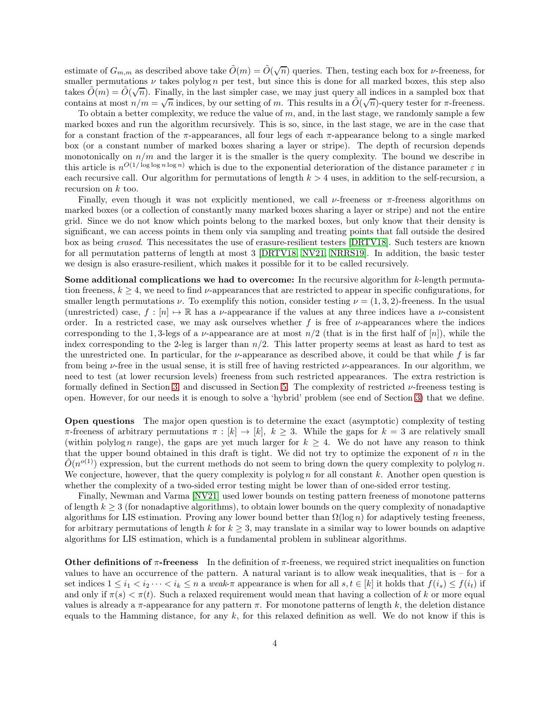estimate of  $G_{m,m}$  as described above take  $\tilde{O}(m) = \tilde{O}(\sqrt{n})$  queries. Then, testing each box for *v*-freeness, for smaller permutations  $\nu$  takes polylog n per test, but since this is done for all marked boxes, this step also takes  $\tilde{O}(m) = \tilde{O}(\sqrt{n})$ . Finally, in the last simpler case, we may just query all indices in a sampled box that contains at most  $n/m = \sqrt{n}$  indices, by our setting of m. This results in a  $O(\sqrt{n})$ -query tester for  $\pi$ -freeness.

To obtain a better complexity, we reduce the value of  $m$ , and, in the last stage, we randomly sample a few marked boxes and run the algorithm recursively. This is so, since, in the last stage, we are in the case that for a constant fraction of the  $\pi$ -appearances, all four legs of each  $\pi$ -appearance belong to a single marked box (or a constant number of marked boxes sharing a layer or stripe). The depth of recursion depends monotonically on  $n/m$  and the larger it is the smaller is the query complexity. The bound we describe in this article is  $n^{O(1/\log \log n \log n)}$  which is due to the exponential deterioration of the distance parameter  $\varepsilon$  in each recursive call. Our algorithm for permutations of length  $k > 4$  uses, in addition to the self-recursion, a recursion on k too.

Finally, even though it was not explicitly mentioned, we call  $\nu$ -freeness or  $\pi$ -freeness algorithms on marked boxes (or a collection of constantly many marked boxes sharing a layer or stripe) and not the entire grid. Since we do not know which points belong to the marked boxes, but only know that their density is significant, we can access points in them only via sampling and treating points that fall outside the desired box as being erased. This necessitates the use of erasure-resilient testers [\[DRTV18\]](#page-22-11). Such testers are known for all permutation patterns of length at most 3 [\[DRTV18,](#page-22-11) [NV21,](#page-23-7) [NRRS19\]](#page-23-0). In addition, the basic tester we design is also erasure-resilient, which makes it possible for it to be called recursively.

Some additional complications we had to overcome: In the recursive algorithm for k-length permutation freeness,  $k \geq 4$ , we need to find  $\nu$ -appearances that are restricted to appear in specific configurations, for smaller length permutations  $\nu$ . To exemplify this notion, consider testing  $\nu = (1, 3, 2)$ -freeness. In the usual (unrestricted) case,  $f : [n] \mapsto \mathbb{R}$  has a *v*-appearance if the values at any three indices have a *v*-consistent order. In a restricted case, we may ask ourselves whether f is free of  $\nu$ -appearances where the indices corresponding to the 1,3-legs of a *v*-appearance are at most  $n/2$  (that is in the first half of [n]), while the index corresponding to the 2-leg is larger than  $n/2$ . This latter property seems at least as hard to test as the unrestricted one. In particular, for the  $\nu$ -appearance as described above, it could be that while f is far from being ν-free in the usual sense, it is still free of having restricted ν-appearances. In our algorithm, we need to test (at lower recursion levels) freeness from such restricted appearances. The extra restriction is formally defined in Section [3,](#page-9-0) and discussed in Section [5.](#page-14-0) The complexity of restricted ν-freeness testing is open. However, for our needs it is enough to solve a 'hybrid' problem (see end of Section [3\)](#page-9-0) that we define.

Open questions The major open question is to determine the exact (asymptotic) complexity of testing  $\pi$ -freeness of arbitrary permutations  $\pi : [k] \to [k], k \geq 3$ . While the gaps for  $k = 3$  are relatively small (within polylog n range), the gaps are yet much larger for  $k \geq 4$ . We do not have any reason to think that the upper bound obtained in this draft is tight. We did not try to optimize the exponent of n in the  $\tilde{O}(n^{o(1)})$  expression, but the current methods do not seem to bring down the query complexity to polylog n. We conjecture, however, that the query complexity is polylog n for all constant k. Another open question is whether the complexity of a two-sided error testing might be lower than of one-sided error testing.

Finally, Newman and Varma [\[NV21\]](#page-23-7) used lower bounds on testing pattern freeness of monotone patterns of length  $k \geq 3$  (for nonadaptive algorithms), to obtain lower bounds on the query complexity of nonadaptive algorithms for LIS estimation. Proving any lower bound better than  $\Omega(\log n)$  for adaptively testing freeness, for arbitrary permutations of length k for  $k \geq 3$ , may translate in a similar way to lower bounds on adaptive algorithms for LIS estimation, which is a fundamental problem in sublinear algorithms.

**Other definitions of**  $\pi$ **-freeness** In the definition of  $\pi$ -freeness, we required strict inequalities on function values to have an occurrence of the pattern. A natural variant is to allow weak inequalities, that is – for a set indices  $1 \leq i_1 < i_2 \cdots < i_k \leq n$  a weak- $\pi$  appearance is when for all  $s, t \in [k]$  it holds that  $f(i_s) \leq f(i_t)$  if and only if  $\pi(s) < \pi(t)$ . Such a relaxed requirement would mean that having a collection of k or more equal values is already a  $\pi$ -appearance for any pattern  $\pi$ . For monotone patterns of length k, the deletion distance equals to the Hamming distance, for any  $k$ , for this relaxed definition as well. We do not know if this is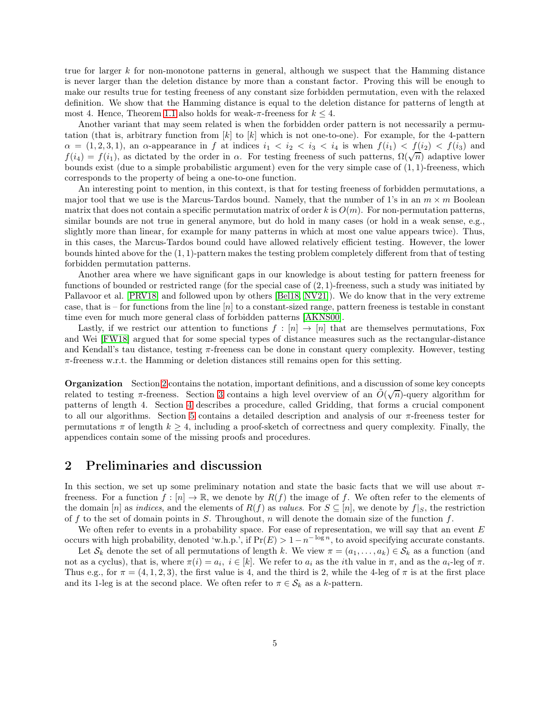true for larger k for non-monotone patterns in general, although we suspect that the Hamming distance is never larger than the deletion distance by more than a constant factor. Proving this will be enough to make our results true for testing freeness of any constant size forbidden permutation, even with the relaxed definition. We show that the Hamming distance is equal to the deletion distance for patterns of length at most 4. Hence, Theorem [1.1](#page-1-2) also holds for weak- $\pi$ -freeness for  $k \leq 4$ .

Another variant that may seem related is when the forbidden order pattern is not necessarily a permutation (that is, arbitrary function from  $[k]$  to  $[k]$  which is not one-to-one). For example, for the 4-pattern  $\alpha = (1, 2, 3, 1)$ , an  $\alpha$ -appearance in f at indices  $i_1 < i_2 < i_3 < i_4$  is when  $f(i_1) < f(i_2) < f(i_3)$  and  $f(i_4) = f(i_1)$ , as dictated by the order in  $\alpha$ . For testing freeness of such patterns,  $\Omega(\sqrt{n})$  adaptive lower bounds exist (due to a simple probabilistic argument) even for the very simple case of (1, 1)-freeness, which corresponds to the property of being a one-to-one function.

An interesting point to mention, in this context, is that for testing freeness of forbidden permutations, a major tool that we use is the Marcus-Tardos bound. Namely, that the number of 1's in an  $m \times m$  Boolean matrix that does not contain a specific permutation matrix of order k is  $O(m)$ . For non-permutation patterns, similar bounds are not true in general anymore, but do hold in many cases (or hold in a weak sense, e.g., slightly more than linear, for example for many patterns in which at most one value appears twice). Thus, in this cases, the Marcus-Tardos bound could have allowed relatively efficient testing. However, the lower bounds hinted above for the (1, 1)-pattern makes the testing problem completely different from that of testing forbidden permutation patterns.

Another area where we have significant gaps in our knowledge is about testing for pattern freeness for functions of bounded or restricted range (for the special case of  $(2, 1)$ -freeness, such a study was initiated by Pallavoor et al. [\[PRV18\]](#page-23-2) and followed upon by others [\[Bel18,](#page-22-10) [NV21\]](#page-23-7)). We do know that in the very extreme case, that is – for functions from the line  $[n]$  to a constant-sized range, pattern freeness is testable in constant time even for much more general class of forbidden patterns [\[AKNS00\]](#page-21-5).

Lastly, if we restrict our attention to functions  $f : [n] \to [n]$  that are themselves permutations, Fox and Wei [\[FW18\]](#page-22-16) argued that for some special types of distance measures such as the rectangular-distance and Kendall's tau distance, testing  $\pi$ -freeness can be done in constant query complexity. However, testing  $\pi$ -freeness w.r.t. the Hamming or deletion distances still remains open for this setting.

Organization Section [2](#page-4-0) contains the notation, important definitions, and a discussion of some key concepts related to testing  $\pi$ -freeness. Section [3](#page-9-0) contains a high level overview of an  $\tilde{O}(\sqrt{n})$ -query algorithm for patterns of length 4. Section [4](#page-13-0) describes a procedure, called Gridding, that forms a crucial component to all our algorithms. Section [5](#page-14-0) contains a detailed description and analysis of our  $\pi$ -freeness tester for permutations  $\pi$  of length  $k \geq 4$ , including a proof-sketch of correctness and query complexity. Finally, the appendices contain some of the missing proofs and procedures.

### <span id="page-4-0"></span>2 Preliminaries and discussion

In this section, we set up some preliminary notation and state the basic facts that we will use about  $\pi$ freeness. For a function  $f : [n] \to \mathbb{R}$ , we denote by  $R(f)$  the image of f. We often refer to the elements of the domain [n] as *indices*, and the elements of  $R(f)$  as *values*. For  $S \subseteq [n]$ , we denote by  $f|_S$ , the restriction of f to the set of domain points in S. Throughout, n will denote the domain size of the function f.

We often refer to events in a probability space. For ease of representation, we will say that an event  $E$ occurs with high probability, denoted 'w.h.p.', if  $Pr(E) > 1-n^{-\log n}$ , to avoid specifying accurate constants.

Let  $S_k$  denote the set of all permutations of length k. We view  $\pi = (a_1, \ldots, a_k) \in S_k$  as a function (and not as a cyclus), that is, where  $\pi(i) = a_i$ ,  $i \in [k]$ . We refer to  $a_i$  as the *i*th value in  $\pi$ , and as the  $a_i$ -leg of  $\pi$ . Thus e.g., for  $\pi = (4, 1, 2, 3)$ , the first value is 4, and the third is 2, while the 4-leg of  $\pi$  is at the first place and its 1-leg is at the second place. We often refer to  $\pi \in \mathcal{S}_k$  as a k-pattern.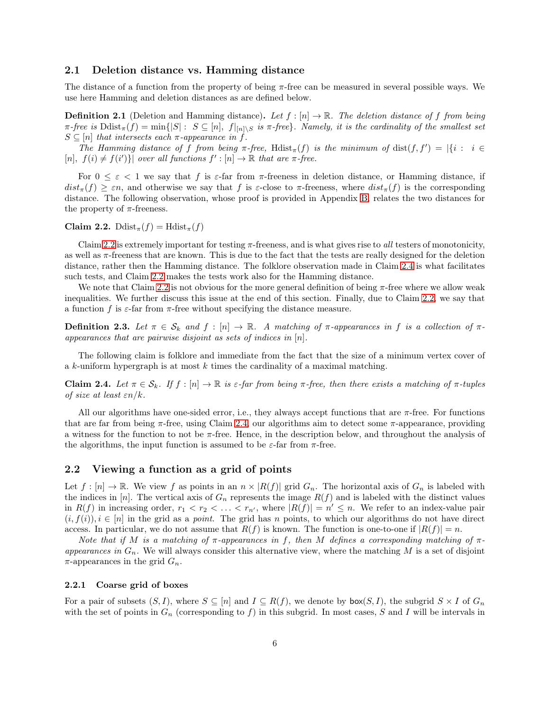### 2.1 Deletion distance vs. Hamming distance

The distance of a function from the property of being  $\pi$ -free can be measured in several possible ways. We use here Hamming and deletion distances as are defined below.

**Definition 2.1** (Deletion and Hamming distance). Let  $f : [n] \to \mathbb{R}$ . The deletion distance of f from being  $\pi$ -free is  $\text{Ddist}_{\pi}(f) = \min\{|S| : S \subseteq [n], f|_{[n] \setminus S}$  is  $\pi$ -free}. Namely, it is the cardinality of the smallest set  $S \subseteq [n]$  that intersects each  $\pi$ -appearance in f.

The Hamming distance of f from being  $\pi$ -free, Hdist $_{\pi}(f)$  is the minimum of dist $(f, f') = |\{i : i \in$ [n],  $f(i) \neq f(i')\}$  over all functions  $f' : [n] \to \mathbb{R}$  that are  $\pi$ -free.

For  $0 \leq \varepsilon < 1$  we say that f is  $\varepsilon$ -far from  $\pi$ -freeness in deletion distance, or Hamming distance, if  $dist_{\pi}(f) \geq \varepsilon n$ , and otherwise we say that f is  $\varepsilon$ -close to  $\pi$ -freeness, where  $dist_{\pi}(f)$  is the corresponding distance. The following observation, whose proof is provided in Appendix [B,](#page-26-0) relates the two distances for the property of  $\pi$ -freeness.

<span id="page-5-0"></span>Claim 2.2. Ddist<sub> $\pi$ </sub> $(f)$  = Hdist<sub> $\pi$ </sub> $(f)$ 

Claim [2.2](#page-5-0) is extremely important for testing  $\pi$ -freeness, and is what gives rise to all testers of monotonicity, as well as  $\pi$ -freeness that are known. This is due to the fact that the tests are really designed for the deletion distance, rather then the Hamming distance. The folklore observation made in Claim [2.4](#page-5-1) is what facilitates such tests, and Claim [2.2](#page-5-0) makes the tests work also for the Hamming distance.

We note that Claim [2.2](#page-5-0) is not obvious for the more general definition of being  $\pi$ -free where we allow weak inequalities. We further discuss this issue at the end of this section. Finally, due to Claim [2.2,](#page-5-0) we say that a function f is  $\varepsilon$ -far from  $\pi$ -free without specifying the distance measure.

**Definition 2.3.** Let  $\pi \in S_k$  and  $f : [n] \to \mathbb{R}$ . A matching of  $\pi$ -appearances in f is a collection of  $\pi$ appearances that are pairwise disjoint as sets of indices in  $[n]$ .

<span id="page-5-1"></span>The following claim is folklore and immediate from the fact that the size of a minimum vertex cover of a  $k$ -uniform hypergraph is at most  $k$  times the cardinality of a maximal matching.

Claim 2.4. Let  $\pi \in \mathcal{S}_k$ . If  $f : [n] \to \mathbb{R}$  is  $\varepsilon$ -far from being  $\pi$ -free, then there exists a matching of  $\pi$ -tuples of size at least  $\varepsilon n/k$ .

All our algorithms have one-sided error, i.e., they always accept functions that are  $\pi$ -free. For functions that are far from being  $\pi$ -free, using Claim [2.4,](#page-5-1) our algorithms aim to detect some  $\pi$ -appearance, providing a witness for the function to not be  $\pi$ -free. Hence, in the description below, and throughout the analysis of the algorithms, the input function is assumed to be  $\varepsilon$ -far from  $\pi$ -free.

### 2.2 Viewing a function as a grid of points

Let  $f : [n] \to \mathbb{R}$ . We view f as points in an  $n \times |R(f)|$  grid  $G_n$ . The horizontal axis of  $G_n$  is labeled with the indices in [n]. The vertical axis of  $G_n$  represents the image  $R(f)$  and is labeled with the distinct values in  $R(f)$  in increasing order,  $r_1 < r_2 < \ldots < r_{n'}$ , where  $|R(f)| = n' \leq n$ . We refer to an index-value pair  $(i, f(i)), i \in [n]$  in the grid as a *point*. The grid has n points, to which our algorithms do not have direct access. In particular, we do not assume that  $R(f)$  is known. The function is one-to-one if  $|R(f)| = n$ .

Note that if M is a matching of  $\pi$ -appearances in f, then M defines a corresponding matching of  $\pi$ appearances in  $G_n$ . We will always consider this alternative view, where the matching M is a set of disjoint  $\pi$ -appearances in the grid  $G_n$ .

#### 2.2.1 Coarse grid of boxes

For a pair of subsets  $(S, I)$ , where  $S \subseteq [n]$  and  $I \subseteq R(f)$ , we denote by  $\mathsf{box}(S, I)$ , the subgrid  $S \times I$  of  $G_n$ with the set of points in  $G_n$  (corresponding to f) in this subgrid. In most cases, S and I will be intervals in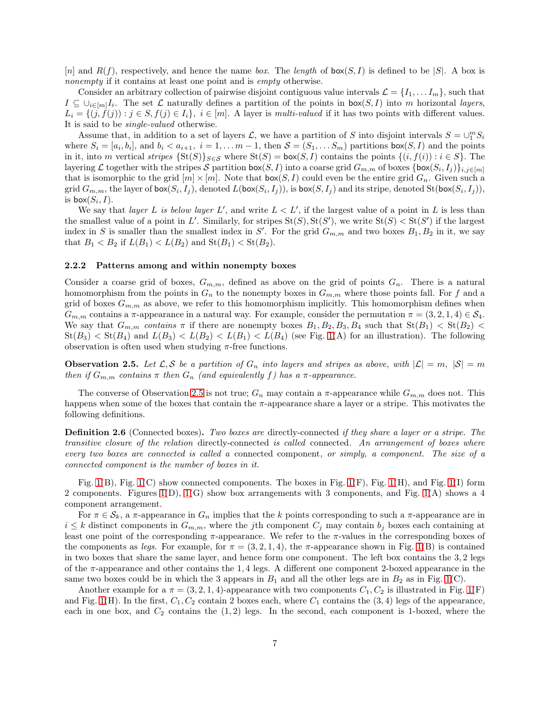[n] and  $R(f)$ , respectively, and hence the name box. The length of  $\mathsf{box}(S, I)$  is defined to be [S]. A box is nonempty if it contains at least one point and is *empty* otherwise.

Consider an arbitrary collection of pairwise disjoint contiguous value intervals  $\mathcal{L} = \{I_1, \ldots I_m\}$ , such that  $I \subseteq \bigcup_{i \in [m]} I_i$ . The set  $\mathcal L$  naturally defines a partition of the points in box( $S, I$ ) into m horizontal layers,  $L_i = \{(j, f(j)) : j \in S, f(j) \in I_i\}, i \in [m]$ . A layer is multi-valued if it has two points with different values. It is said to be single-valued otherwise.

Assume that, in addition to a set of layers  $\mathcal{L}$ , we have a partition of S into disjoint intervals  $S = \bigcup_{i=1}^{m} S_i$ where  $S_i = [a_i, b_i]$ , and  $b_i < a_{i+1}, i = 1, \ldots m-1$ , then  $S = (S_1, \ldots S_m)$  partitions  $\mathsf{box}(S, I)$  and the points in it, into m vertical stripes  $\{St(S)\}_{S\in\mathcal{S}}$  where  $St(S) = \text{box}(S, I)$  contains the points  $\{(i, f(i)) : i \in S\}$ . The layering L together with the stripes S partition  $\text{box}(S, I)$  into a coarse grid  $G_{m,m}$  of boxes  $\{\text{box}(S_i, I_j)\}_{i,j \in [m]}$ that is isomorphic to the grid  $[m] \times [m]$ . Note that  $\text{box}(S, I)$  could even be the entire grid  $G_n$ . Given such a grid  $G_{m,m}$ , the layer of  $\mathsf{box}(S_i,I_j)$ , denoted  $L(\mathsf{box}(S_i,I_j))$ , is  $\mathsf{box}(S,I_j)$  and its stripe, denoted  $\mathrm{St}(\mathsf{box}(S_i,I_j))$ , is  $\mathsf{box}(S_i,I).$ 

We say that *layer* L is below *layer* L', and write  $L < L'$ , if the largest value of a point in L is less than the smallest value of a point in L'. Similarly, for stripes  $St(S)$ ,  $St(S')$ , we write  $St(S) < St(S')$  if the largest index in S is smaller than the smallest index in S'. For the grid  $G_{m,m}$  and two boxes  $B_1, B_2$  in it, we say that  $B_1 < B_2$  if  $L(B_1) < L(B_2)$  and  $St(B_1) < St(B_2)$ .

#### 2.2.2 Patterns among and within nonempty boxes

Consider a coarse grid of boxes,  $G_{m,m}$ , defined as above on the grid of points  $G_n$ . There is a natural homomorphism from the points in  $G_n$  to the nonempty boxes in  $G_{m,m}$  where those points fall. For f and a grid of boxes  $G_{m,m}$  as above, we refer to this homomorphism implicitly. This homomorphism defines when  $G_{m,m}$  contains a  $\pi$ -appearance in a natural way. For example, consider the permutation  $\pi = (3, 2, 1, 4) \in \mathcal{S}_4$ . We say that  $G_{m,m}$  contains  $\pi$  if there are nonempty boxes  $B_1, B_2, B_3, B_4$  such that  $St(B_1) < St(B_2)$  $St(B_3) < St(B_4)$  and  $L(B_3) < L(B_2) < L(B_1) < L(B_4)$  (see Fig. [1\(](#page-7-0)A) for an illustration). The following observation is often used when studying  $\pi$ -free functions.

<span id="page-6-0"></span>**Observation 2.5.** Let  $\mathcal{L}, \mathcal{S}$  be a partition of  $G_n$  into layers and stripes as above, with  $|\mathcal{L}| = m$ ,  $|\mathcal{S}| = m$ then if  $G_{m,m}$  contains  $\pi$  then  $G_n$  (and equivalently f) has a  $\pi$ -appearance.

The converse of Observation [2.5](#page-6-0) is not true;  $G_n$  may contain a  $\pi$ -appearance while  $G_{m,m}$  does not. This happens when some of the boxes that contain the  $\pi$ -appearance share a layer or a stripe. This motivates the following definitions.

<span id="page-6-1"></span>**Definition 2.6** (Connected boxes). Two boxes are directly-connected if they share a layer or a stripe. The transitive closure of the relation directly-connected is called connected. An arrangement of boxes where every two boxes are connected is called a connected component, or simply, a component. The size of a connected component is the number of boxes in it.

Fig. [1\(](#page-7-0)B), Fig. 1(C) show connected components. The boxes in Fig. 1(F), Fig. 1(H), and Fig. 1(I) form 2 components. Figures [1\(](#page-7-0)D), [1\(](#page-7-0)G) show box arrangements with 3 components, and Fig. [1\(](#page-7-0)A) shows a 4 component arrangement.

For  $\pi \in \mathcal{S}_k$ , a  $\pi$ -appearance in  $G_n$  implies that the k points corresponding to such a  $\pi$ -appearance are in  $i \leq k$  distinct components in  $G_{m,m}$ , where the jth component  $C_j$  may contain  $b_j$  boxes each containing at least one point of the corresponding  $\pi$ -appearance. We refer to the  $\pi$ -values in the corresponding boxes of the components as legs. For example, for  $\pi = (3, 2, 1, 4)$ , the  $\pi$ -appearance shown in Fig. [1\(](#page-7-0)B) is contained in two boxes that share the same layer, and hence form one component. The left box contains the 3, 2 legs of the π-appearance and other contains the 1, 4 legs. A different one component 2-boxed appearance in the same two boxes could be in which the 3 appears in  $B_1$  and all the other legs are in  $B_2$  as in Fig. [1\(](#page-7-0)C).

Another example for a  $\pi = (3, 2, 1, 4)$ -appearance with two components  $C_1, C_2$  is illustrated in Fig. [1\(](#page-7-0)F) and Fig. [1\(](#page-7-0)H). In the first,  $C_1$ ,  $C_2$  contain 2 boxes each, where  $C_1$  contains the  $(3, 4)$  legs of the appearance, each in one box, and  $C_2$  contains the  $(1, 2)$  legs. In the second, each component is 1-boxed, where the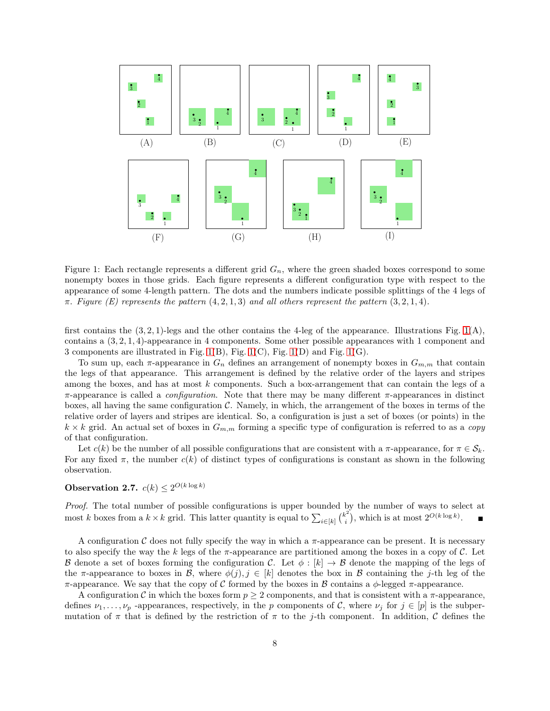

<span id="page-7-0"></span>Figure 1: Each rectangle represents a different grid  $G_n$ , where the green shaded boxes correspond to some nonempty boxes in those grids. Each figure represents a different configuration type with respect to the appearance of some 4-length pattern. The dots and the numbers indicate possible splittings of the 4 legs of  $\pi$ . Figure (E) represents the pattern  $(4, 2, 1, 3)$  and all others represent the pattern  $(3, 2, 1, 4)$ .

first contains the  $(3, 2, 1)$ -legs and the other contains the 4-leg of the appearance. Illustrations Fig. [1\(](#page-7-0)A), contains a (3, 2, 1, 4)-appearance in 4 components. Some other possible appearances with 1 component and 3 components are illustrated in Fig. [1\(](#page-7-0)B), Fig. [1\(](#page-7-0)C), Fig. [1\(](#page-7-0)D) and Fig. [1\(](#page-7-0)G).

To sum up, each  $\pi$ -appearance in  $G_n$  defines an arrangement of nonempty boxes in  $G_{m,m}$  that contain the legs of that appearance. This arrangement is defined by the relative order of the layers and stripes among the boxes, and has at most  $k$  components. Such a box-arrangement that can contain the legs of a π-appearance is called a *configuration*. Note that there may be many different π-appearances in distinct boxes, all having the same configuration  $\mathcal{C}$ . Namely, in which, the arrangement of the boxes in terms of the relative order of layers and stripes are identical. So, a configuration is just a set of boxes (or points) in the  $k \times k$  grid. An actual set of boxes in  $G_{m,m}$  forming a specific type of configuration is referred to as a copy of that configuration.

Let  $c(k)$  be the number of all possible configurations that are consistent with a  $\pi$ -appearance, for  $\pi \in \mathcal{S}_k$ . For any fixed  $\pi$ , the number  $c(k)$  of distinct types of configurations is constant as shown in the following observation.

# **Observation 2.7.**  $c(k) \leq 2^{O(k \log k)}$

Proof. The total number of possible configurations is upper bounded by the number of ways to select at most k boxes from a  $k \times k$  grid. This latter quantity is equal to  $\sum_{i \in [k]} {k_i^2}$  $i^{2}$ , which is at most  $2^{O(k \log k)}$ .

A configuration C does not fully specify the way in which a  $\pi$ -appearance can be present. It is necessary to also specify the way the k legs of the  $\pi$ -appearance are partitioned among the boxes in a copy of C. Let B denote a set of boxes forming the configuration C. Let  $\phi : [k] \to \mathcal{B}$  denote the mapping of the legs of the π-appearance to boxes in B, where  $\phi(j), j \in [k]$  denotes the box in B containing the j-th leg of the π-appearance. We say that the copy of C formed by the boxes in B contains a  $\phi$ -legged π-appearance.

A configuration C in which the boxes form  $p \geq 2$  components, and that is consistent with a  $\pi$ -appearance, defines  $\nu_1, \ldots, \nu_p$  -appearances, respectively, in the p components of C, where  $\nu_j$  for  $j \in [p]$  is the subpermutation of  $\pi$  that is defined by the restriction of  $\pi$  to the j-th component. In addition, C defines the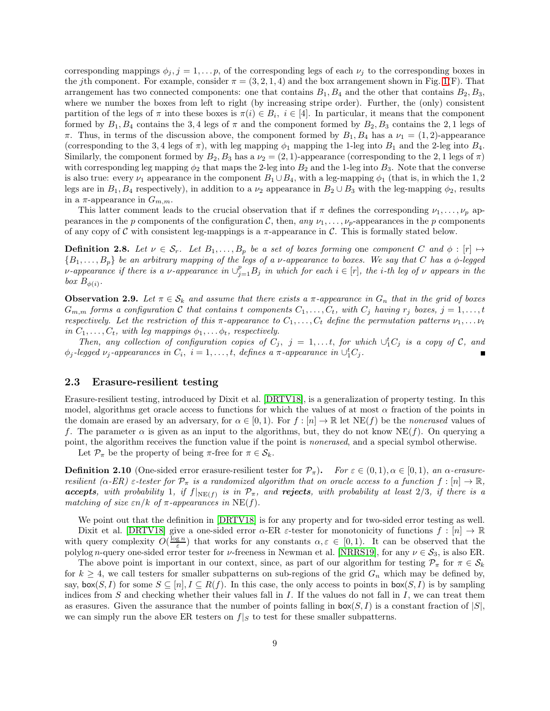corresponding mappings  $\phi_j$ ,  $j = 1, \ldots, p$ , of the corresponding legs of each  $\nu_j$  to the corresponding boxes in the jth component. For example, consider  $\pi = (3, 2, 1, 4)$  and the box arrangement shown in Fig. [1\(](#page-7-0)F). That arrangement has two connected components: one that contains  $B_1, B_4$  and the other that contains  $B_2, B_3$ , where we number the boxes from left to right (by increasing stripe order). Further, the (only) consistent partition of the legs of  $\pi$  into these boxes is  $\pi(i) \in B_i$ ,  $i \in [4]$ . In particular, it means that the component formed by  $B_1, B_4$  contains the 3,4 legs of  $\pi$  and the component formed by  $B_2, B_3$  contains the 2,1 legs of  $\pi$ . Thus, in terms of the discussion above, the component formed by  $B_1, B_4$  has a  $\nu_1 = (1, 2)$ -appearance (corresponding to the 3,4 legs of  $\pi$ ), with leg mapping  $\phi_1$  mapping the 1-leg into  $B_1$  and the 2-leg into  $B_4$ . Similarly, the component formed by  $B_2, B_3$  has a  $\nu_2 = (2, 1)$ -appearance (corresponding to the 2, 1 legs of  $\pi$ ) with corresponding leg mapping  $\phi_2$  that maps the 2-leg into  $B_2$  and the 1-leg into  $B_3$ . Note that the converse is also true: every  $\nu_1$  appearance in the component  $B_1 \cup B_4$ , with a leg-mapping  $\phi_1$  (that is, in which the 1, 2 legs are in  $B_1, B_4$  respectively), in addition to a  $\nu_2$  appearance in  $B_2 \cup B_3$  with the leg-mapping  $\phi_2$ , results in a  $\pi$ -appearance in  $G_{m,m}$ .

This latter comment leads to the crucial observation that if  $\pi$  defines the corresponding  $\nu_1, \ldots, \nu_n$  appearances in the p components of the configuration C, then, any  $\nu_1, \ldots, \nu_p$ -appearances in the p components of any copy of C with consistent leg-mappings is a  $\pi$ -appearance in C. This is formally stated below.

<span id="page-8-1"></span>**Definition 2.8.** Let  $\nu \in S_r$ . Let  $B_1, \ldots, B_p$  be a set of boxes forming one component C and  $\phi : [r] \mapsto$  ${B_1,\ldots,B_p}$  be an arbitrary mapping of the legs of a v-appearance to boxes. We say that C has a  $\phi$ -legged v-appearance if there is a v-appearance in  $\cup_{j=1}^p B_j$  in which for each  $i \in [r]$ , the *i*-th leg of v appears in the box  $B_{\phi(i)}$ .

<span id="page-8-0"></span>**Observation 2.9.** Let  $\pi \in S_k$  and assume that there exists a  $\pi$ -appearance in  $G_n$  that in the grid of boxes  $G_{m,m}$  forms a configuration C that contains t components  $C_1, \ldots, C_t$ , with  $C_j$  having  $r_j$  boxes,  $j = 1, \ldots, t$ respectively. Let the restriction of this  $\pi$ -appearance to  $C_1, \ldots, C_t$  define the permutation patterns  $\nu_1, \ldots, \nu_t$ in  $C_1, \ldots, C_t$ , with leg mappings  $\phi_1, \ldots, \phi_t$ , respectively.

Then, any collection of configuration copies of  $C_j$ ,  $j = 1, \ldots t$ , for which  $\cup_1^t C_j$  is a copy of  $\mathcal{C}$ , and  $\phi_j$ -legged  $\nu_j$ -appearances in  $C_i$ ,  $i = 1, \ldots, t$ , defines a  $\pi$ -appearance in  $\cup_1^t C_j$ .

#### 2.3 Erasure-resilient testing

Erasure-resilient testing, introduced by Dixit et al. [\[DRTV18\]](#page-22-11), is a generalization of property testing. In this model, algorithms get oracle access to functions for which the values of at most  $\alpha$  fraction of the points in the domain are erased by an adversary, for  $\alpha \in [0,1)$ . For  $f : [n] \to \mathbb{R}$  let NE(f) be the nonerased values of f. The parameter  $\alpha$  is given as an input to the algorithms, but, they do not know NE(f). On querying a point, the algorithm receives the function value if the point is nonerased, and a special symbol otherwise.

Let  $\mathcal{P}_{\pi}$  be the property of being  $\pi$ -free for  $\pi \in \mathcal{S}_k$ .

**Definition 2.10** (One-sided error erasure-resilient tester for  $\mathcal{P}_{\pi}$ ). For  $\varepsilon \in (0,1)$ ,  $\alpha \in [0,1)$ , an  $\alpha$ -erasureresilient  $(\alpha$ -ER)  $\varepsilon$ -tester for  $\mathcal{P}_{\pi}$  is a randomized algorithm that on oracle access to a function  $f : [n] \to \mathbb{R}$ , **accepts**, with probability 1, if  $f|_{NE(f)}$  is in  $\mathcal{P}_{\pi}$ , and **rejects**, with probability at least 2/3, if there is a matching of size  $\varepsilon n/k$  of  $\pi$ -appearances in NE(f).

We point out that the definition in [\[DRTV18\]](#page-22-11) is for any property and for two-sided error testing as well. Dixit et al. [\[DRTV18\]](#page-22-11) give a one-sided error  $\alpha$ -ER  $\varepsilon$ -tester for monotonicity of functions  $f : [n] \to \mathbb{R}$ with query complexity  $O(\frac{\log n}{\varepsilon})$  that works for any constants  $\alpha, \varepsilon \in [0, 1)$ . It can be observed that the polylog n-query one-sided error tester for  $\nu$ -freeness in Newman et al. [\[NRRS19\]](#page-23-0), for any  $\nu \in S_3$ , is also ER.

The above point is important in our context, since, as part of our algorithm for testing  $\mathcal{P}_{\pi}$  for  $\pi \in \mathcal{S}_k$ for  $k \geq 4$ , we call testers for smaller subpatterns on sub-regions of the grid  $G_n$  which may be defined by, say,  $\mathsf{box}(S, I)$  for some  $S \subseteq [n], I \subseteq R(f)$ . In this case, the only access to points in  $\mathsf{box}(S, I)$  is by sampling indices from  $S$  and checking whether their values fall in  $I$ . If the values do not fall in  $I$ , we can treat them as erasures. Given the assurance that the number of points falling in  $\text{box}(S, I)$  is a constant fraction of  $|S|$ , we can simply run the above ER testers on  $f|_{S}$  to test for these smaller subpatterns.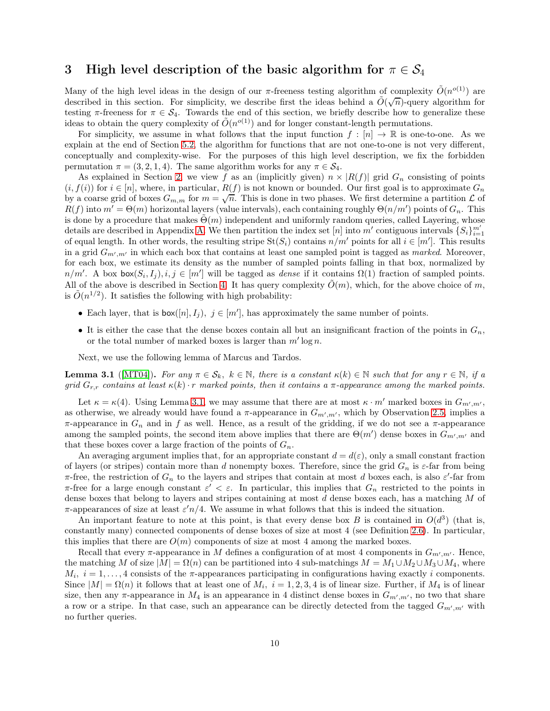# <span id="page-9-0"></span>3 High level description of the basic algorithm for  $\pi \in \mathcal{S}_4$

Many of the high level ideas in the design of our  $\pi$ -freeness testing algorithm of complexity  $\tilde{O}(n^{o(1)})$  are described in this section. For simplicity, we describe first the ideas behind a  $\tilde{O}(\sqrt{n})$ -query algorithm for testing  $\pi$ -freeness for  $\pi \in \mathcal{S}_4$ . Towards the end of this section, we briefly describe how to generalize these ideas to obtain the query complexity of  $\tilde{O}(n^{o(1)})$  and for longer constant-length permutations.

For simplicity, we assume in what follows that the input function  $f : [n] \to \mathbb{R}$  is one-to-one. As we explain at the end of Section [5.2,](#page-17-0) the algorithm for functions that are not one-to-one is not very different, conceptually and complexity-wise. For the purposes of this high level description, we fix the forbidden permutation  $\pi = (3, 2, 1, 4)$ . The same algorithm works for any  $\pi \in \mathcal{S}_4$ .

As explained in Section [2,](#page-4-0) we view f as an (implicitly given)  $n \times |R(f)|$  grid  $G_n$  consisting of points  $(i, f(i))$  for  $i \in [n]$ , where, in particular,  $R(f)$  is not known or bounded. Our first goal is to approximate  $G_n$ by a coarse grid of boxes  $G_{m,m}$  for  $m = \sqrt{n}$ . This is done in two phases. We first determine a partition  $\mathcal L$  of  $R(f)$  into  $m' = \Theta(m)$  horizontal layers (value intervals), each containing roughly  $\Theta(n/m')$  points of  $G_n$ . This is done by a procedure that makes  $\Theta(m)$  independent and uniformly random queries, called Layering, whose details are described in Appendix [A.](#page-24-0) We then partition the index set [n] into m' contiguous intervals  $\{S_i\}_{i=1}^{m'}$ of equal length. In other words, the resulting stripe  $St(S_i)$  contains  $n/m'$  points for all  $i \in [m']$ . This results in a grid  $G_{m',m'}$  in which each box that contains at least one sampled point is tagged as *marked*. Moreover, for each box, we estimate its density as the number of sampled points falling in that box, normalized by  $n/m'$ . A box  $\mathsf{box}(S_i, I_j), i, j \in [m']$  will be tagged as *dense* if it contains  $\Omega(1)$  fraction of sampled points. All of the above is described in Section [4.](#page-13-0) It has query complexity  $O(m)$ , which, for the above choice of m, is  $\tilde{O}(n^{1/2})$ . It satisfies the following with high probability:

- Each layer, that is  $\mathsf{box}([n], I_j)$ ,  $j \in [m']$ , has approximately the same number of points.
- It is either the case that the dense boxes contain all but an insignificant fraction of the points in  $G_n$ , or the total number of marked boxes is larger than  $m' \log n$ .

<span id="page-9-1"></span>Next, we use the following lemma of Marcus and Tardos.

**Lemma 3.1** ([\[MT04\]](#page-23-1)). For any  $\pi \in \mathcal{S}_k$ ,  $k \in \mathbb{N}$ , there is a constant  $\kappa(k) \in \mathbb{N}$  such that for any  $r \in \mathbb{N}$ , if a grid  $G_{r,r}$  contains at least  $\kappa(k) \cdot r$  marked points, then it contains a  $\pi$ -appearance among the marked points.

Let  $\kappa = \kappa(4)$ . Using Lemma [3.1,](#page-9-1) we may assume that there are at most  $\kappa \cdot m'$  marked boxes in  $G_{m',m'}$ , as otherwise, we already would have found a  $\pi$ -appearance in  $G_{m',m'}$ , which by Observation [2.5,](#page-6-0) implies a  $\pi$ -appearance in  $G_n$  and in f as well. Hence, as a result of the gridding, if we do not see a  $\pi$ -appearance among the sampled points, the second item above implies that there are  $\Theta(m')$  dense boxes in  $G_{m',m'}$  and that these boxes cover a large fraction of the points of  $G_n$ .

An averaging argument implies that, for an appropriate constant  $d = d(\varepsilon)$ , only a small constant fraction of layers (or stripes) contain more than d nonempty boxes. Therefore, since the grid  $G_n$  is  $\varepsilon$ -far from being  $\pi$ -free, the restriction of  $G_n$  to the layers and stripes that contain at most d boxes each, is also  $\varepsilon'$ -far from  $\pi$ -free for a large enough constant  $\varepsilon' < \varepsilon$ . In particular, this implies that  $G_n$  restricted to the points in dense boxes that belong to layers and stripes containing at most d dense boxes each, has a matching M of  $\pi$ -appearances of size at least  $\varepsilon' n/4$ . We assume in what follows that this is indeed the situation.

An important feature to note at this point, is that every dense box B is contained in  $O(d^3)$  (that is, constantly many) connected components of dense boxes of size at most 4 (see Definition [2.6\)](#page-6-1). In particular, this implies that there are  $O(m)$  components of size at most 4 among the marked boxes.

Recall that every  $\pi$ -appearance in M defines a configuration of at most 4 components in  $G_{m',m'}$ . Hence, the matching M of size  $|M| = \Omega(n)$  can be partitioned into 4 sub-matchings  $M = M_1 \cup M_2 \cup M_3 \cup M_4$ , where  $M_i$ ,  $i = 1, \ldots, 4$  consists of the  $\pi$ -appearances participating in configurations having exactly i components. Since  $|M| = \Omega(n)$  it follows that at least one of  $M_i$ ,  $i = 1, 2, 3, 4$  is of linear size. Further, if  $M_4$  is of linear size, then any  $\pi$ -appearance in  $M_4$  is an appearance in 4 distinct dense boxes in  $G_{m',m'}$ , no two that share a row or a stripe. In that case, such an appearance can be directly detected from the tagged  $G_{m',m'}$  with no further queries.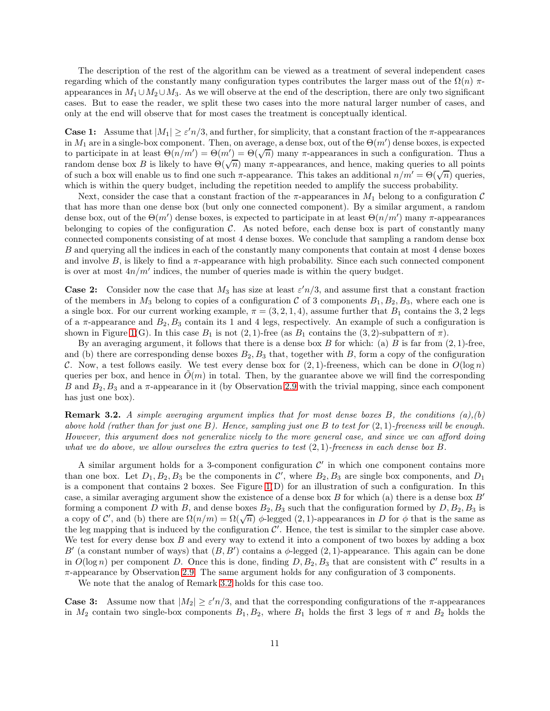The description of the rest of the algorithm can be viewed as a treatment of several independent cases regarding which of the constantly many configuration types contributes the larger mass out of the  $\Omega(n)$  πappearances in  $M_1 \cup M_2 \cup M_3$ . As we will observe at the end of the description, there are only two significant cases. But to ease the reader, we split these two cases into the more natural larger number of cases, and only at the end will observe that for most cases the treatment is conceptually identical.

**Case 1:** Assume that  $|M_1| \ge \varepsilon' n/3$ , and further, for simplicity, that a constant fraction of the  $\pi$ -appearances in  $M_1$  are in a single-box component. Then, on average, a dense box, out of the  $\Theta(m')$  dense boxes, is expected to participate in at least  $\Theta(n/m') = \Theta(m') = \Theta(\sqrt{n})$  many π-appearances in such a configuration. Thus a random dense box B is likely to have  $\Theta(\sqrt{n})$  many  $\pi$ -appearances, and hence, making queries to all points of such a box will enable us to find one such  $\pi$ -appearance. This takes an additional  $n/m' = \Theta(\sqrt{n})$  queries, which is within the query budget, including the repetition needed to amplify the success probability.

Next, consider the case that a constant fraction of the  $\pi$ -appearances in  $M_1$  belong to a configuration C that has more than one dense box (but only one connected component). By a similar argument, a random dense box, out of the  $\Theta(m')$  dense boxes, is expected to participate in at least  $\Theta(n/m')$  many π-appearances belonging to copies of the configuration  $\mathcal{C}$ . As noted before, each dense box is part of constantly many connected components consisting of at most 4 dense boxes. We conclude that sampling a random dense box B and querying all the indices in each of the constantly many components that contain at most 4 dense boxes and involve  $B$ , is likely to find a  $\pi$ -appearance with high probability. Since each such connected component is over at most  $4n/m'$  indices, the number of queries made is within the query budget.

**Case 2:** Consider now the case that  $M_3$  has size at least  $\varepsilon' n/3$ , and assume first that a constant fraction of the members in  $M_3$  belong to copies of a configuration C of 3 components  $B_1, B_2, B_3$ , where each one is a single box. For our current working example,  $\pi = (3, 2, 1, 4)$ , assume further that  $B_1$  contains the 3, 2 legs of a  $\pi$ -appearance and  $B_2, B_3$  contain its 1 and 4 legs, respectively. An example of such a configuration is shown in Figure [1\(](#page-7-0)G). In this case  $B_1$  is not  $(2, 1)$ -free (as  $B_1$  contains the  $(3, 2)$ -subpattern of  $\pi$ ).

By an averaging argument, it follows that there is a dense box B for which: (a) B is far from  $(2, 1)$ -free, and (b) there are corresponding dense boxes  $B_2, B_3$  that, together with B, form a copy of the configuration C. Now, a test follows easily. We test every dense box for  $(2, 1)$ -freeness, which can be done in  $O(\log n)$ queries per box, and hence in  $O(m)$  in total. Then, by the guarantee above we will find the corresponding B and  $B_2, B_3$  and a  $\pi$ -appearance in it (by Observation [2.9](#page-8-0) with the trivial mapping, since each component has just one box).

<span id="page-10-0"></span>**Remark 3.2.** A simple averaging argument implies that for most dense boxes B, the conditions  $(a),(b)$ above hold (rather than for just one B). Hence, sampling just one B to test for  $(2,1)$ -freeness will be enough. However, this argument does not generalize nicely to the more general case, and since we can afford doing what we do above, we allow ourselves the extra queries to test  $(2,1)$ -freeness in each dense box B.

A similar argument holds for a 3-component configuration  $\mathcal{C}'$  in which one component contains more than one box. Let  $D_1, B_2, B_3$  be the components in  $\mathcal{C}'$ , where  $B_2, B_3$  are single box components, and  $D_1$ is a component that contains 2 boxes. See Figure  $1(D)$  for an illustration of such a configuration. In this case, a similar averaging argument show the existence of a dense box  $B$  for which (a) there is a dense box  $B'$ forming a component D with B, and dense boxes  $B_2, B_3$  such that the configuration formed by  $D, B_2, B_3$  is a copy of C', and (b) there are  $\Omega(n/m) = \Omega(\sqrt{n})$   $\phi$ -legged (2, 1)-appearances in D for  $\phi$  that is the same as the leg mapping that is induced by the configuration  $\mathcal{C}'$ . Hence, the test is similar to the simpler case above. We test for every dense box  $B$  and every way to extend it into a component of two boxes by adding a box B' (a constant number of ways) that  $(B, B')$  contains a  $\phi$ -legged  $(2, 1)$ -appearance. This again can be done in  $O(\log n)$  per component D. Once this is done, finding  $D, B_2, B_3$  that are consistent with C' results in a  $\pi$ -appearance by Observation [2.9.](#page-8-0) The same argument holds for any configuration of 3 components.

We note that the analog of Remark [3.2](#page-10-0) holds for this case too.

**Case 3:** Assume now that  $|M_2| \ge \varepsilon' n/3$ , and that the corresponding configurations of the  $\pi$ -appearances in  $M_2$  contain two single-box components  $B_1, B_2$ , where  $B_1$  holds the first 3 legs of  $\pi$  and  $B_2$  holds the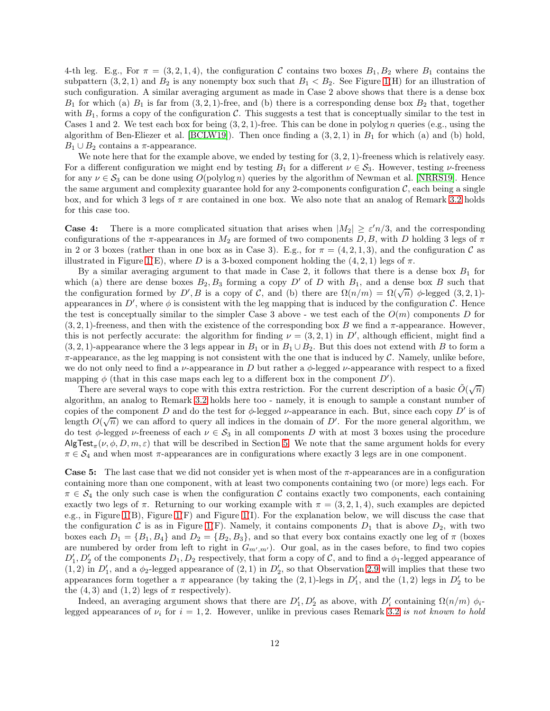4-th leg. E.g., For  $\pi = (3, 2, 1, 4)$ , the configuration C contains two boxes  $B_1, B_2$  where  $B_1$  contains the subpattern  $(3, 2, 1)$  and  $B_2$  is any nonempty box such that  $B_1 < B_2$ . See Figure [1\(](#page-7-0)H) for an illustration of such configuration. A similar averaging argument as made in Case 2 above shows that there is a dense box  $B_1$  for which (a)  $B_1$  is far from  $(3, 2, 1)$ -free, and (b) there is a corresponding dense box  $B_2$  that, together with  $B_1$ , forms a copy of the configuration C. This suggests a test that is conceptually similar to the test in Cases 1 and 2. We test each box for being  $(3, 2, 1)$ -free. This can be done in polylog *n* queries (e.g., using the algorithm of Ben-Eliezer et al. [\[BCLW19\]](#page-22-13)). Then once finding a  $(3, 2, 1)$  in  $B_1$  for which (a) and (b) hold,  $B_1 \cup B_2$  contains a  $\pi$ -appearance.

We note here that for the example above, we ended by testing for  $(3, 2, 1)$ -freeness which is relatively easy. For a different configuration we might end by testing  $B_1$  for a different  $\nu \in S_3$ . However, testing  $\nu$ -freeness for any  $\nu \in S_3$  can be done using  $O(poly \log n)$  queries by the algorithm of Newman et al. [\[NRRS19\]](#page-23-0). Hence the same argument and complexity guarantee hold for any 2-components configuration  $\mathcal{C}$ , each being a single box, and for which 3 legs of  $\pi$  are contained in one box. We also note that an analog of Remark [3.2](#page-10-0) holds for this case too.

**Case 4:** There is a more complicated situation that arises when  $|M_2| \ge \varepsilon' n/3$ , and the corresponding configurations of the  $\pi$ -appearances in  $M_2$  are formed of two components D, B, with D holding 3 legs of  $\pi$ in 2 or 3 boxes (rather than in one box as in Case 3). E.g., for  $\pi = (4, 2, 1, 3)$ , and the configuration C as illustrated in Figure [1\(](#page-7-0)E), where D is a 3-boxed component holding the  $(4, 2, 1)$  legs of  $\pi$ .

By a similar averaging argument to that made in Case 2, it follows that there is a dense box  $B_1$  for which (a) there are dense boxes  $B_2, B_3$  forming a copy D' of D with  $B_1$ , and a dense box B such that the configuration formed by D', B is a copy of C, and (b) there are  $\Omega(n/m) = \Omega(\sqrt{n})$   $\phi$ -legged (3, 2, 1)appearances in  $D'$ , where  $\phi$  is consistent with the leg mapping that is induced by the configuration  $\mathcal C$ . Hence the test is conceptually similar to the simpler Case 3 above - we test each of the  $O(m)$  components D for  $(3, 2, 1)$ -freeness, and then with the existence of the corresponding box B we find a  $\pi$ -appearance. However, this is not perfectly accurate: the algorithm for finding  $\nu = (3, 2, 1)$  in D', although efficient, might find a  $(3, 2, 1)$ -appearance where the 3 legs appear in  $B_1$  or in  $B_1 \cup B_2$ . But this does not extend with B to form a  $\pi$ -appearance, as the leg mapping is not consistent with the one that is induced by C. Namely, unlike before, we do not only need to find a  $\nu$ -appearance in D but rather a  $\phi$ -legged  $\nu$ -appearance with respect to a fixed mapping  $\phi$  (that in this case maps each leg to a different box in the component  $D'$ ).

There are several ways to cope with this extra restriction. For the current description of a basic  $\tilde{O}(\sqrt{n})$ algorithm, an analog to Remark [3.2](#page-10-0) holds here too - namely, it is enough to sample a constant number of copies of the component D and do the test for  $\phi$ -legged  $\nu$ -appearance in each. But, since each copy D' is of length  $O(\sqrt{n})$  we can afford to query all indices in the domain of D'. For the more general algorithm, we do test φ-legged v-freeness of each  $\nu \in S_3$  in all components D with at most 3 boxes using the procedure  $\mathsf{AlgTest}_{\pi}(\nu, \phi, D, m, \varepsilon)$  that will be described in Section [5.](#page-14-0) We note that the same argument holds for every  $\pi \in \mathcal{S}_4$  and when most  $\pi$ -appearances are in configurations where exactly 3 legs are in one component.

Case 5: The last case that we did not consider yet is when most of the  $\pi$ -appearances are in a configuration containing more than one component, with at least two components containing two (or more) legs each. For  $\pi \in S_4$  the only such case is when the configuration C contains exactly two components, each containing exactly two legs of  $\pi$ . Returning to our working example with  $\pi = (3, 2, 1, 4)$ , such examples are depicted e.g., in Figure [1\(](#page-7-0)B), Figure [1\(](#page-7-0)F) and Figure [1\(](#page-7-0)I). For the explanation below, we will discuss the case that the configuration C is as in Figure [1\(](#page-7-0)F). Namely, it contains components  $D_1$  that is above  $D_2$ , with two boxes each  $D_1 = \{B_1, B_4\}$  and  $D_2 = \{B_2, B_3\}$ , and so that every box contains exactly one leg of  $\pi$  (boxes are numbered by order from left to right in  $G_{m',m'}$ ). Our goal, as in the cases before, to find two copies  $D'_1, D'_2$  of the components  $D_1, D_2$  respectively, that form a copy of C, and to find a  $\phi_1$ -legged appearance of  $(1, 2)$  in  $D'_1$ , and a  $\phi_2$ -legged appearance of  $(2, 1)$  in  $D'_2$ , so that Observation [2.9](#page-8-0) will implies that these two appearances form together a  $\pi$  appearance (by taking the  $(2, 1)$ -legs in  $D'_1$ , and the  $(1, 2)$  legs in  $D'_2$  to be the  $(4, 3)$  and  $(1, 2)$  legs of  $\pi$  respectively).

Indeed, an averaging argument shows that there are  $D'_1, D'_2$  as above, with  $D'_i$  containing  $\Omega(n/m)$   $\phi_i$ . legged appearances of  $\nu_i$  for  $i = 1, 2$ . However, unlike in previous cases Remark [3.2](#page-10-0) is not known to hold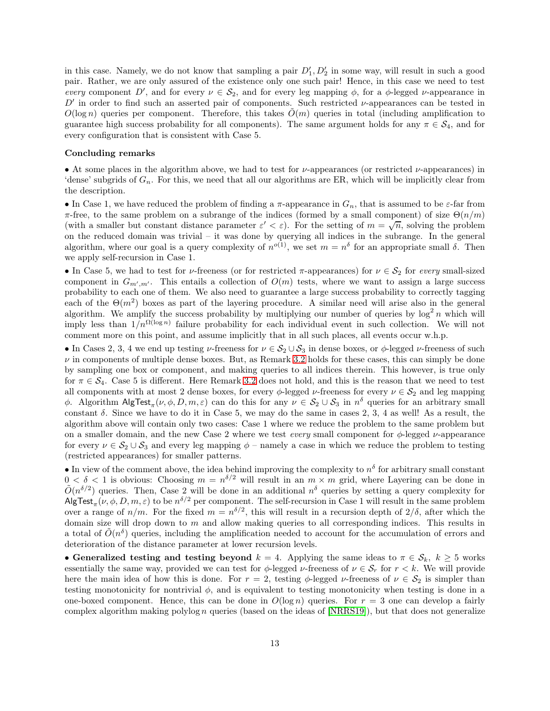in this case. Namely, we do not know that sampling a pair  $D'_1, D'_2$  in some way, will result in such a good pair. Rather, we are only assured of the existence only one such pair! Hence, in this case we need to test every component D', and for every  $\nu \in S_2$ , and for every leg mapping  $\phi$ , for a  $\phi$ -legged  $\nu$ -appearance in  $D'$  in order to find such an asserted pair of components. Such restricted  $\nu$ -appearances can be tested in  $O(\log n)$  queries per component. Therefore, this takes  $\tilde{O}(m)$  queries in total (including amplification to guarantee high success probability for all components). The same argument holds for any  $\pi \in S_4$ , and for every configuration that is consistent with Case 5.

#### Concluding remarks

• At some places in the algorithm above, we had to test for  $\nu$ -appearances (or restricted  $\nu$ -appearances) in 'dense' subgrids of  $G_n$ . For this, we need that all our algorithms are ER, which will be implicitly clear from the description.

• In Case 1, we have reduced the problem of finding a  $\pi$ -appearance in  $G_n$ , that is assumed to be  $\varepsilon$ -far from π-free, to the same problem on a subrange of the indices (formed by a small component) of size  $\Theta(n/m)$ (with a smaller but constant distance parameter  $\varepsilon' < \varepsilon$ ). For the setting of  $m = \sqrt{n}$ , solving the problem on the reduced domain was trivial – it was done by querying all indices in the subrange. In the general algorithm, where our goal is a query complexity of  $n^{o(1)}$ , we set  $m = n^{\delta}$  for an appropriate small  $\delta$ . Then we apply self-recursion in Case 1.

• In Case 5, we had to test for *ν*-freeness (or for restricted  $\pi$ -appearances) for  $\nu \in S_2$  for every small-sized component in  $G_{m',m'}$ . This entails a collection of  $O(m)$  tests, where we want to assign a large success probability to each one of them. We also need to guarantee a large success probability to correctly tagging each of the  $\Theta(m^2)$  boxes as part of the layering procedure. A similar need will arise also in the general algorithm. We amplify the success probability by multiplying our number of queries by  $\log^2 n$  which will imply less than  $1/n^{\Omega(\log n)}$  failure probability for each individual event in such collection. We will not comment more on this point, and assume implicitly that in all such places, all events occur w.h.p.

• In Cases 2, 3, 4 we end up testing  $\nu$ -freeness for  $\nu \in S_2 \cup S_3$  in dense boxes, or  $\phi$ -legged  $\nu$ -freeness of such  $\nu$  in components of multiple dense boxes. But, as Remark [3.2](#page-10-0) holds for these cases, this can simply be done by sampling one box or component, and making queries to all indices therein. This however, is true only for  $\pi \in S_4$ . Case 5 is different. Here Remark [3.2](#page-10-0) does not hold, and this is the reason that we need to test all components with at most 2 dense boxes, for every  $\phi$ -legged  $\nu$ -freeness for every  $\nu \in \mathcal{S}_2$  and leg mapping φ. Algorithm  $\text{AlgTest}_{\pi}(\nu, \phi, D, m, \varepsilon)$  can do this for any  $\nu \in S_2 \cup S_3$  in  $n^{\delta}$  queries for an arbitrary small constant  $\delta$ . Since we have to do it in Case 5, we may do the same in cases 2, 3, 4 as well! As a result, the algorithm above will contain only two cases: Case 1 where we reduce the problem to the same problem but on a smaller domain, and the new Case 2 where we test every small component for  $\phi$ -legged  $\nu$ -appearance for every  $\nu \in S_2 \cup S_3$  and every leg mapping  $\phi$  – namely a case in which we reduce the problem to testing (restricted appearances) for smaller patterns.

• In view of the comment above, the idea behind improving the complexity to  $n^{\delta}$  for arbitrary small constant  $0 < \delta < 1$  is obvious: Choosing  $m = n^{\delta/2}$  will result in an  $m \times m$  grid, where Layering can be done in  $\tilde{O}(n^{\delta/2})$  queries. Then, Case 2 will be done in an additional  $n^{\delta}$  queries by setting a query complexity for AlgTest<sub> $\pi(\nu,\phi,D,m,\varepsilon)$  to be  $n^{\delta/2}$  per component. The self-recursion in Case 1 will result in the same problem</sub> over a range of  $n/m$ . For the fixed  $m = n^{\delta/2}$ , this will result in a recursion depth of  $2/\delta$ , after which the domain size will drop down to  $m$  and allow making queries to all corresponding indices. This results in a total of  $\tilde{O}(n^{\delta})$  queries, including the amplification needed to account for the accumulation of errors and deterioration of the distance parameter at lower recursion levels.

• Generalized testing and testing beyond  $k = 4$ . Applying the same ideas to  $\pi \in \mathcal{S}_k$ ,  $k \geq 5$  works essentially the same way, provided we can test for  $\phi$ -legged  $\nu$ -freeness of  $\nu \in \mathcal{S}_r$  for  $r < k$ . We will provide here the main idea of how this is done. For  $r = 2$ , testing  $\phi$ -legged  $\nu$ -freeness of  $\nu \in S_2$  is simpler than testing monotonicity for nontrivial  $\phi$ , and is equivalent to testing monotonicity when testing is done in a one-boxed component. Hence, this can be done in  $O(\log n)$  queries. For  $r = 3$  one can develop a fairly complex algorithm making polylog n queries (based on the ideas of  $[NRRS19]$ ), but that does not generalize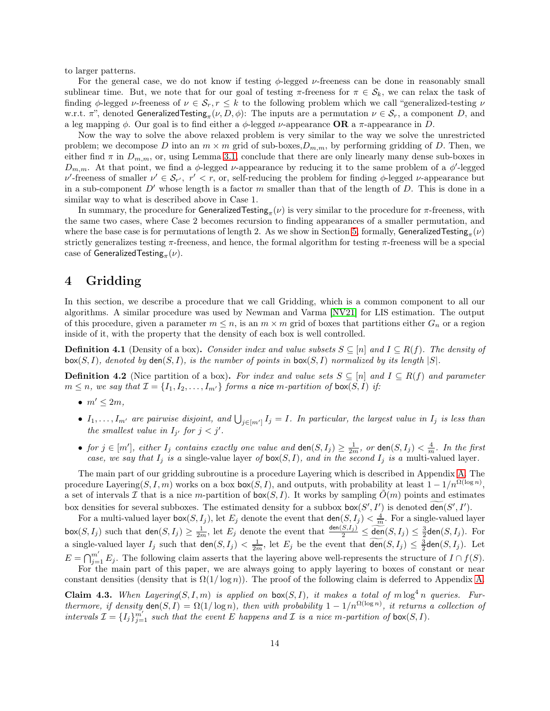to larger patterns.

For the general case, we do not know if testing  $\phi$ -legged  $\nu$ -freeness can be done in reasonably small sublinear time. But, we note that for our goal of testing  $\pi$ -freeness for  $\pi \in \mathcal{S}_k$ , we can relax the task of finding  $\phi$ -legged *ν*-freeness of  $\nu \in \mathcal{S}_r$ ,  $r \leq k$  to the following problem which we call "generalized-testing  $\nu$ w.r.t.  $\pi$ ", denoted Generalized Testing<sub> $\pi$ </sub>( $\nu$ ,  $D$ ,  $\phi$ ): The inputs are a permutation  $\nu \in S_r$ , a component D, and a leg mapping  $\phi$ . Our goal is to find either a  $\phi$ -legged *v*-appearance **OR** a  $\pi$ -appearance in D.

Now the way to solve the above relaxed problem is very similar to the way we solve the unrestricted problem; we decompose D into an  $m \times m$  grid of sub-boxes,  $D_{m,m}$ , by performing gridding of D. Then, we either find  $\pi$  in  $D_{m,m}$ , or, using Lemma [3.1,](#page-9-1) conclude that there are only linearly many dense sub-boxes in  $D_{m,m}$ . At that point, we find a  $\phi$ -legged *v*-appearance by reducing it to the same problem of a  $\phi'$ -legged  $\nu'$ -freeness of smaller  $\nu' \in S_{r'}$ ,  $r' < r$ , or, self-reducing the problem for finding  $\phi$ -legged  $\nu$ -appearance but in a sub-component  $D'$  whose length is a factor m smaller than that of the length of D. This is done in a similar way to what is described above in Case 1.

In summary, the procedure for GeneralizedTesting $_\pi(\nu)$  is very similar to the procedure for  $\pi$ -freeness, with the same two cases, where Case 2 becomes recursion to finding appearances of a smaller permutation, and where the base case is for permutations of length 2. As we show in Section [5,](#page-14-0) formally, GeneralizedTesting $_\pi(\nu)$ strictly generalizes testing  $\pi$ -freeness, and hence, the formal algorithm for testing  $\pi$ -freeness will be a special case of GeneralizedTesting $_{\pi}(\nu).$ 

# <span id="page-13-0"></span>4 Gridding

In this section, we describe a procedure that we call Gridding, which is a common component to all our algorithms. A similar procedure was used by Newman and Varma [\[NV21\]](#page-23-7) for LIS estimation. The output of this procedure, given a parameter  $m \leq n$ , is an  $m \times m$  grid of boxes that partitions either  $G_n$  or a region inside of it, with the property that the density of each box is well controlled.

**Definition 4.1** (Density of a box). Consider index and value subsets  $S \subseteq [n]$  and  $I \subseteq R(f)$ . The density of  $\textsf{box}(S, I)$ , denoted by den $(S, I)$ , is the number of points in  $\textsf{box}(S, I)$  normalized by its length  $|S|$ .

**Definition 4.2** (Nice partition of a box). For index and value sets  $S \subseteq [n]$  and  $I \subseteq R(f)$  and parameter  $m \leq n$ , we say that  $\mathcal{I} = \{I_1, I_2, \ldots, I_{m'}\}$  forms a nice m-partition of box(S, I) if:

- $\bullet$   $m' \leq 2m$ ,
- $I_1, \ldots, I_{m'}$  are pairwise disjoint, and  $\bigcup_{j \in [m']} I_j = I$ . In particular, the largest value in  $I_j$  is less than the smallest value in  $I_{j'}$  for  $j < j'$ .
- for  $j \in [m']$ , either  $I_j$  contains exactly one value and  $\text{den}(S, I_j) \geq \frac{1}{2m}$ , or  $\text{den}(S, I_j) < \frac{4}{m}$ . In the first case, we say that  $I_j$  is a single-value layer of  $\text{box}(S, I)$ , and in the second  $I_j$  is a multi-valued layer.

The main part of our gridding subroutine is a procedure Layering which is described in Appendix [A.](#page-24-0) The procedure Layering(S, I, m) works on a box  $\mathsf{box}(S, I)$ , and outputs, with probability at least  $1 - 1/n^{\Omega(\log n)}$ , a set of intervals I that is a nice m-partition of  $\text{box}(S, I)$ . It works by sampling  $O(m)$  points and estimates box densities for several subboxes. The estimated density for a subbox  $\mathsf{box}(S',I')$  is denoted  $\mathsf{den}(S',I')$ .

For a multi-valued layer box(S, I<sub>j</sub>), let  $E_j$  denote the event that  $\text{den}(S, I_j) < \frac{4}{m}$ . For a single-valued layer  $\mathsf{box}(S, I_j)$  such that  $\mathsf{den}(S, I_j) \geq \frac{1}{2m}$ , let  $E_j$  denote the event that  $\frac{\mathsf{den}(S, I_j)}{2} \leq \underbrace{\widetilde{\mathsf{den}}}(S, I_j) \leq \frac{3}{2}\mathsf{den}(S, I_j)$ . For a single-valued layer  $I_j$  such that  $\text{den}(S, I_j) < \frac{1}{2m}$ , let  $E_j$  be the event that  $\text{den}(S, I_j) \leq \frac{3}{2}\text{den}(S, I_j)$ . Let  $E = \bigcap_{j=1}^{m'} E_j$ . The following claim asserts that the layering above well-represents the structure of  $I \cap f(S)$ .

For the main part of this paper, we are always going to apply layering to boxes of constant or near constant densities (density that is  $\Omega(1/\log n)$ ). The proof of the following claim is deferred to Appendix [A.](#page-24-0)

<span id="page-13-1"></span>**Claim 4.3.** When Layering(S, I, m) is applied on  $box(S, I)$ , it makes a total of m  $log<sup>4</sup> n$  queries. Furthermore, if density  $\text{den}(S, I) = \Omega(1/\log n)$ , then with probability  $1 - 1/n^{\Omega(\log n)}$ , it returns a collection of intervals  $\mathcal{I} = \{I_j\}_{j=1}^{m'}$  such that the event E happens and  $\mathcal I$  is a nice m-partition of box(S, I).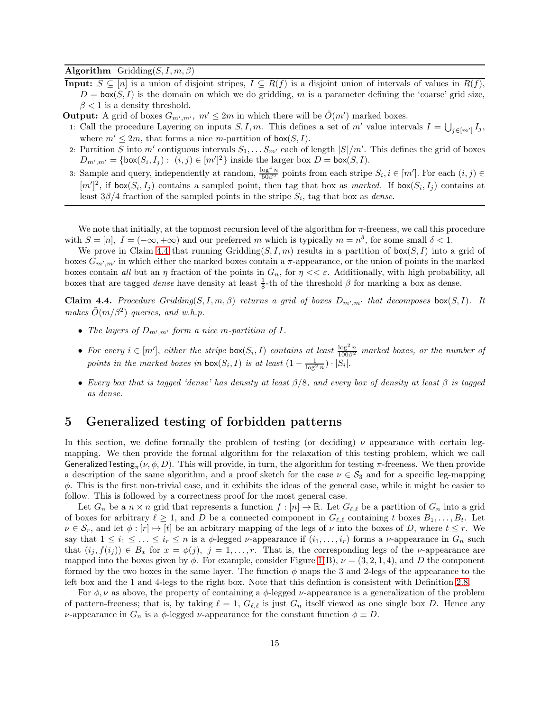### Algorithm Gridding $(S, I, m, \beta)$

- **Input:**  $S \subseteq [n]$  is a union of disjoint stripes,  $I \subseteq R(f)$  is a disjoint union of intervals of values in  $R(f)$ ,  $D = \text{box}(S, I)$  is the domain on which we do gridding, m is a parameter defining the 'coarse' grid size,  $\beta$  < 1 is a density threshold.
- **Output:** A grid of boxes  $G_{m',m'}$ ,  $m' \leq 2m$  in which there will be  $\tilde{O}(m')$  marked boxes.
- 1: Call the procedure Layering on inputs  $S, I, m$ . This defines a set of m' value intervals  $I = \bigcup_{j \in [m']} I_j$ , where  $m' \leq 2m$ , that forms a nice m-partition of  $\text{box}(S, I)$ .
- 2: Partition S into  $m'$  contiguous intervals  $S_1, \ldots S_{m'}$  each of length  $|S|/m'$ . This defines the grid of boxes  $D_{m',m'} = \{\text{box}(S_i, I_j) : (i, j) \in [m']^2\}$  inside the larger box  $D = \text{box}(S, I)$ .
- 3: Sample and query, independently at random,  $\frac{\log^4 n}{50\beta^2}$  points from each stripe  $S_i, i \in [m']$ . For each  $(i, j) \in$  $[m']^2$ , if  $\textsf{box}(S_i, I_j)$  contains a sampled point, then tag that box as marked. If  $\textsf{box}(S_i, I_j)$  contains at least  $3\beta/4$  fraction of the sampled points in the stripe  $S_i$ , tag that box as *dense*.

We note that initially, at the topmost recursion level of the algorithm for  $\pi$ -freeness, we call this procedure with  $S = [n]$ ,  $I = (-\infty, +\infty)$  and our preferred m which is typically  $m = n^{\delta}$ , for some small  $\delta < 1$ .

We prove in Claim [4.4](#page-14-1) that running Gridding(S, I, m) results in a partition of  $\text{box}(S, I)$  into a grid of boxes  $G_{m',m'}$  in which either the marked boxes contain a  $\pi$ -appearance, or the union of points in the marked boxes contain all but an  $\eta$  fraction of the points in  $G_n$ , for  $\eta \ll \varepsilon$ . Additionally, with high probability, all boxes that are tagged *dense* have density at least  $\frac{1}{8}$ -th of the threshold  $\beta$  for marking a box as dense.

<span id="page-14-1"></span>**Claim 4.4.** Procedure Gridding(S, I, m,  $\beta$ ) returns a grid of boxes  $D_{m',m'}$  that decomposes  $\text{box}(S, I)$ . It makes  $\tilde{O}(m/\beta^2)$  queries, and w.h.p.

- The layers of  $D_{m',m'}$  form a nice m-partition of I.
- For every  $i \in [m']$ , either the stripe box $(S_i, I)$  contains at least  $\frac{\log^2 n}{100\beta^2}$  marked boxes, or the number of points in the marked boxes in  $\textsf{box}(S_i, I)$  is at least  $(1 - \frac{1}{\log^2 n}) \cdot |S_i|$ .
- Every box that is tagged 'dense' has density at least  $\beta/8$ , and every box of density at least  $\beta$  is tagged as dense.

# <span id="page-14-0"></span>5 Generalized testing of forbidden patterns

In this section, we define formally the problem of testing (or deciding)  $\nu$  appearance with certain legmapping. We then provide the formal algorithm for the relaxation of this testing problem, which we call GeneralizedTesting $_\pi(\nu,\phi,D)$ . This will provide, in turn, the algorithm for testing  $\pi$ -freeness. We then provide a description of the same algorithm, and a proof sketch for the case  $\nu \in S_3$  and for a specific leg-mapping  $\phi$ . This is the first non-trivial case, and it exhibits the ideas of the general case, while it might be easier to follow. This is followed by a correctness proof for the most general case.

Let  $G_n$  be a  $n \times n$  grid that represents a function  $f : [n] \to \mathbb{R}$ . Let  $G_{\ell,\ell}$  be a partition of  $G_n$  into a grid of boxes for arbitrary  $\ell \geq 1$ , and D be a connected component in  $G_{\ell,\ell}$  containing t boxes  $B_1, \ldots, B_t$ . Let  $\nu \in S_r$ , and let  $\phi : [r] \mapsto [t]$  be an arbitrary mapping of the legs of  $\nu$  into the boxes of D, where  $t \leq r$ . We say that  $1 \leq i_1 \leq \ldots \leq i_r \leq n$  is a  $\phi$ -legged  $\nu$ -appearance if  $(i_1, \ldots, i_r)$  forms a  $\nu$ -appearance in  $G_n$  such that  $(i_j, f(i_j)) \in B_x$  for  $x = \phi(j), j = 1, \ldots, r$ . That is, the corresponding legs of the *v*-appearance are mapped into the boxes given by  $\phi$ . For example, consider Figure [1\(](#page-7-0)B),  $\nu = (3, 2, 1, 4)$ , and D the component formed by the two boxes in the same layer. The function  $\phi$  maps the 3 and 2-legs of the appearance to the left box and the 1 and 4-legs to the right box. Note that this defintion is consistent with Definition [2.8.](#page-8-1)

For  $\phi, \nu$  as above, the property of containing a  $\phi$ -legged  $\nu$ -appearance is a generalization of the problem of pattern-freeness; that is, by taking  $\ell = 1$ ,  $G_{\ell,\ell}$  is just  $G_n$  itself viewed as one single box D. Hence any *ν*-appearance in  $G_n$  is a  $\phi$ -legged *ν*-appearance for the constant function  $\phi \equiv D$ .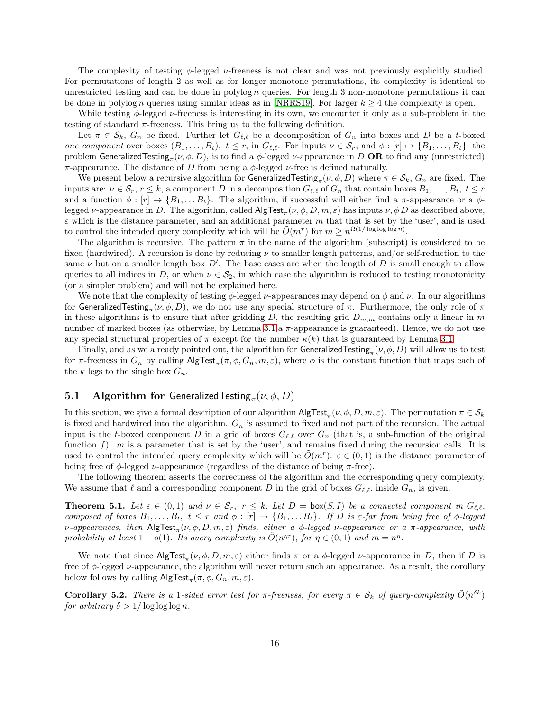The complexity of testing  $\phi$ -legged  $\nu$ -freeness is not clear and was not previously explicitly studied. For permutations of length 2 as well as for longer monotone permutations, its complexity is identical to unrestricted testing and can be done in polylog n queries. For length 3 non-monotone permutations it can be done in polylog n queries using similar ideas as in [\[NRRS19\]](#page-23-0). For larger  $k \geq 4$  the complexity is open.

While testing  $\phi$ -legged  $\nu$ -freeness is interesting in its own, we encounter it only as a sub-problem in the testing of standard  $\pi$ -freeness. This bring us to the following definition.

Let  $\pi \in \mathcal{S}_k$ ,  $G_n$  be fixed. Further let  $G_{\ell,\ell}$  be a decomposition of  $G_n$  into boxes and D be a t-boxed one component over boxes  $(B_1, \ldots, B_t)$ ,  $t \leq r$ , in  $G_{\ell,\ell}$ . For inputs  $\nu \in S_r$ , and  $\phi : [r] \mapsto \{B_1, \ldots, B_t\}$ , the problem GeneralizedTesting $_\pi(\nu,\phi,D),$  is to find a  $\phi$ -legged  $\nu$ -appearance in  $D$  OR to find any (unrestricted) π-appearance. The distance of D from being a  $\phi$ -legged v-free is defined naturally.

We present below a recursive algorithm for GeneralizedTesting<sub>π</sub> $(\nu, \phi, D)$  where  $\pi \in S_k$ ,  $G_n$  are fixed. The inputs are:  $\nu \in \mathcal{S}_r$ ,  $r \leq k$ , a component D in a decomposition  $G_{\ell,\ell}$  of  $G_n$  that contain boxes  $B_1,\ldots,B_t$ ,  $t \leq r$ and a function  $\phi : [r] \to \{B_1, \ldots B_t\}$ . The algorithm, if successful will either find a  $\pi$ -appearance or a  $\phi$ legged  $\nu$ -appearance in D. The algorithm, called  $\mathsf{AlgTest}_\pi(\nu,\phi,D,m,\varepsilon)$  has inputs  $\nu,\phi\,D$  as described above,  $\varepsilon$  which is the distance parameter, and an additional parameter m that that is set by the 'user', and is used to control the intended query complexity which will be  $\tilde{O}(m^r)$  for  $m \geq n^{\Omega(1/\log \log \log n)}$ .

The algorithm is recursive. The pattern  $\pi$  in the name of the algorithm (subscript) is considered to be fixed (hardwired). A recursion is done by reducing  $\nu$  to smaller length patterns, and/or self-reduction to the same  $\nu$  but on a smaller length box  $D'$ . The base cases are when the length of D is small enough to allow queries to all indices in D, or when  $\nu \in S_2$ , in which case the algorithm is reduced to testing monotonicity (or a simpler problem) and will not be explained here.

We note that the complexity of testing  $\phi$ -legged  $\nu$ -appearances may depend on  $\phi$  and  $\nu$ . In our algorithms for GeneralizedTesting $_{\pi}(\nu,\phi,D),$  we do not use any special structure of π. Furthermore, the only role of π in these algorithms is to ensure that after gridding  $D$ , the resulting grid  $D_{m,m}$  contains only a linear in m number of marked boxes (as otherwise, by Lemma [3.1](#page-9-1) a π-appearance is guaranteed). Hence, we do not use any special structural properties of  $\pi$  except for the number  $\kappa(k)$  that is guaranteed by Lemma [3.1.](#page-9-1)

Finally, and as we already pointed out, the algorithm for  $\sf GeneralizedTesting_\pi(\nu,\phi,D)$  will allow us to test for  $\pi$ -freeness in  $G_n$  by calling  $\mathsf{AlgTest}_{\pi}(\pi,\phi,G_n,m,\varepsilon)$ , where  $\phi$  is the constant function that maps each of the k legs to the single box  $G_n$ .

# <span id="page-15-1"></span>5.1 Algorithm for Generalized Testing $_{\pi}(\nu,\phi,D)$

In this section, we give a formal description of our algorithm  $\mathsf{AlgTest}_{\pi}(\nu,\phi,D,m,\varepsilon)$ . The permutation  $\pi \in \mathcal{S}_k$ is fixed and hardwired into the algorithm.  $G_n$  is assumed to fixed and not part of the recursion. The actual input is the t-boxed component D in a grid of boxes  $G_{\ell,\ell}$  over  $G_n$  (that is, a sub-function of the original function f). m is a parameter that is set by the 'user', and remains fixed during the recursion calls. It is used to control the intended query complexity which will be  $\tilde{O}(m^r)$ .  $\varepsilon \in (0,1)$  is the distance parameter of being free of  $\phi$ -legged  $\nu$ -appearance (regardless of the distance of being  $\pi$ -free).

<span id="page-15-0"></span>The following theorem asserts the correctness of the algorithm and the corresponding query complexity. We assume that  $\ell$  and a corresponding component D in the grid of boxes  $G_{\ell,\ell}$ , inside  $G_n$ , is given.

**Theorem 5.1.** Let  $\varepsilon \in (0,1)$  and  $\nu \in S_r$ ,  $r \leq k$ . Let  $D = \text{box}(S, I)$  be a connected component in  $G_{\ell,\ell}$ , composed of boxes  $B_1,\ldots,B_t$ ,  $t \leq r$  and  $\phi : [r] \to \{B_1,\ldots,B_t\}$ . If D is  $\varepsilon$ -far from being free of  $\phi$ -legged ν-appearances, then  $\mathsf{AlgTest}_\pi(\nu,\phi,D,m,\varepsilon)$  finds, either a φ-legged v-appearance or a  $\pi$ -appearance, with probability at least  $1 - o(1)$ . Its query complexity is  $\tilde{O}(n^{n\tau})$ , for  $\eta \in (0,1)$  and  $m = n^{\eta}$ .

We note that since  $\mathsf{AlgTest}_{\pi}(\nu,\phi,D,m,\varepsilon)$  either finds  $\pi$  or a  $\phi$ -legged  $\nu$ -appearance in D, then if D is free of  $\phi$ -legged  $\nu$ -appearance, the algorithm will never return such an appearance. As a result, the corollary below follows by calling  $\mathsf{AlgTest}_{\pi}(\pi,\phi,G_n,m,\varepsilon).$ 

**Corollary 5.2.** There is a 1-sided error test for  $\pi$ -freeness, for every  $\pi \in S_k$  of query-complexity  $\tilde{O}(n^{\delta k})$ for arbitrary  $\delta > 1/\log \log \log n$ .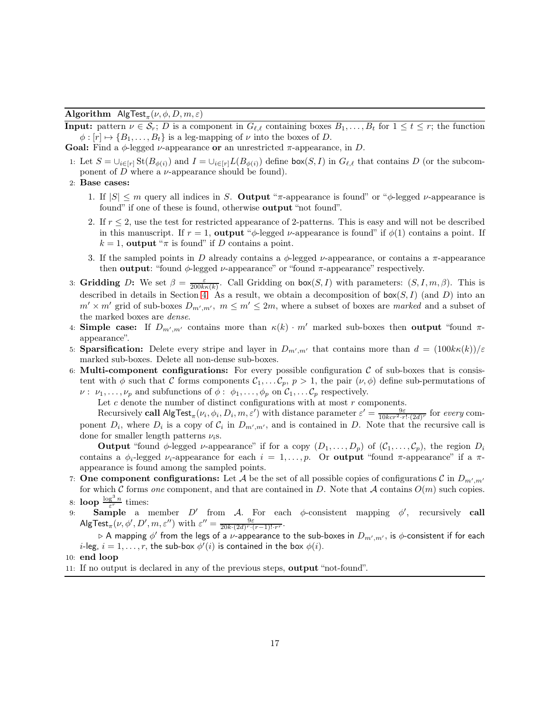### **Algorithm**  $\mathsf{AlgTest}_{\pi}(\nu, \phi, D, m, \varepsilon)$

**Input:** pattern  $\nu \in S_r$ ; D is a component in  $G_{\ell,\ell}$  containing boxes  $B_1, \ldots, B_t$  for  $1 \le t \le r$ ; the function  $\phi : [r] \mapsto \{B_1, \ldots, B_t\}$  is a leg-mapping of  $\nu$  into the boxes of D.

Goal: Find a  $\phi$ -legged *v*-appearance or an unrestricted  $\pi$ -appearance, in *D*.

- 1: Let  $S = \bigcup_{i \in [r]} \text{St}(B_{\phi(i)})$  and  $I = \bigcup_{i \in [r]} L(B_{\phi(i)})$  define box(S, I) in  $G_{\ell,\ell}$  that contains D (or the subcomponent of  $D$  where a  $\nu$ -appearance should be found).
- 2: Base cases:
	- 1. If  $|S| \le m$  query all indices in S. Output "π-appearance is found" or "φ-legged  $\nu$ -appearance is found" if one of these is found, otherwise **output** "not found".
	- 2. If  $r \leq 2$ , use the test for restricted appearance of 2-patterns. This is easy and will not be described in this manuscript. If  $r = 1$ , output " $\phi$ -legged  $\nu$ -appearance is found" if  $\phi(1)$  contains a point. If  $k = 1$ , output " $\pi$  is found" if D contains a point.
	- 3. If the sampled points in D already contains a  $\phi$ -legged  $\nu$ -appearance, or contains a  $\pi$ -appearance then **output**: "found  $\phi$ -legged *v*-appearance" or "found  $\pi$ -appearance" respectively.
- 3: Gridding D: We set  $\beta = \frac{\varepsilon}{200k\kappa(k)}$ . Call Gridding on box(S, I) with parameters:  $(S, I, m, \beta)$ . This is described in details in Section [4.](#page-13-0) As a result, we obtain a decomposition of  $\text{box}(S, I)$  (and D) into an  $m' \times m'$  grid of sub-boxes  $D_{m',m'}$ ,  $m \leq m' \leq 2m$ , where a subset of boxes are marked and a subset of the marked boxes are dense.
- 4: **Simple case:** If  $D_{m',m'}$  contains more than  $\kappa(k) \cdot m'$  marked sub-boxes then **output** "found  $\pi$ appearance".
- <span id="page-16-0"></span>5: **Sparsification:** Delete every stripe and layer in  $D_{m',m'}$  that contains more than  $d = (100k\kappa(k))/\varepsilon$ marked sub-boxes. Delete all non-dense sub-boxes.
- <span id="page-16-1"></span>6: Multi-component configurations: For every possible configuration  $\mathcal C$  of sub-boxes that is consistent with  $\phi$  such that C forms components  $C_1, \ldots, C_p$ ,  $p > 1$ , the pair  $(\nu, \phi)$  define sub-permutations of  $\nu: \nu_1, \ldots, \nu_p$  and subfunctions of  $\phi: \phi_1, \ldots, \phi_p$  on  $\mathcal{C}_1, \ldots \mathcal{C}_p$  respectively.

Let  $c$  denote the number of distinct configurations with at most  $r$  components.

Recursively call  $\mathsf{AlgTest}_{\pi}(\nu_i, \phi_i, D_i, m, \varepsilon')$  with distance parameter  $\varepsilon' = \frac{9\varepsilon}{10kcr^2 \cdot r! \cdot (2d)^r}$  for every component  $D_i$ , where  $D_i$  is a copy of  $C_i$  in  $D_{m',m'}$ , and is contained in D. Note that the recursive call is done for smaller length patterns  $\nu_i$ s.

**Output** "found  $\phi$ -legged  $\nu$ -appearance" if for a copy  $(D_1, \ldots, D_p)$  of  $(C_1, \ldots, C_p)$ , the region  $D_i$ contains a  $\phi_i$ -legged  $\nu_i$ -appearance for each  $i = 1, \ldots, p$ . Or **output** "found  $\pi$ -appearance" if a  $\pi$ appearance is found among the sampled points.

- 7: **One component configurations:** Let A be the set of all possible copies of configurations C in  $D_{m',m'}$ for which C forms one component, and that are contained in D. Note that A contains  $O(m)$  such copies. 8: loop  $\frac{\log^3 n}{\varepsilon^r}$  times:
- <span id="page-16-2"></span>9: Sample a member  $D'$  from A. For each  $\phi$ -consistent mapping  $\phi'$ , recursively call  $\mathsf{AlgTest}_\pi(\nu, \phi', D', m, \varepsilon'') \text{ with } \varepsilon'' = \frac{9\varepsilon}{20k \cdot (2d)^r \cdot (r-1)! \cdot r^r}.$

⊳ A mapping  $\phi'$  from the legs of a  $\nu$ -appearance to the sub-boxes in  $D_{m',m'} ,$  is  $\phi$ -consistent if for each *i*-leg,  $i = 1, \ldots, r$ , the sub-box  $\phi'(i)$  is contained in the box  $\phi(i)$ .

10: end loop

11: If no output is declared in any of the previous steps, output "not-found".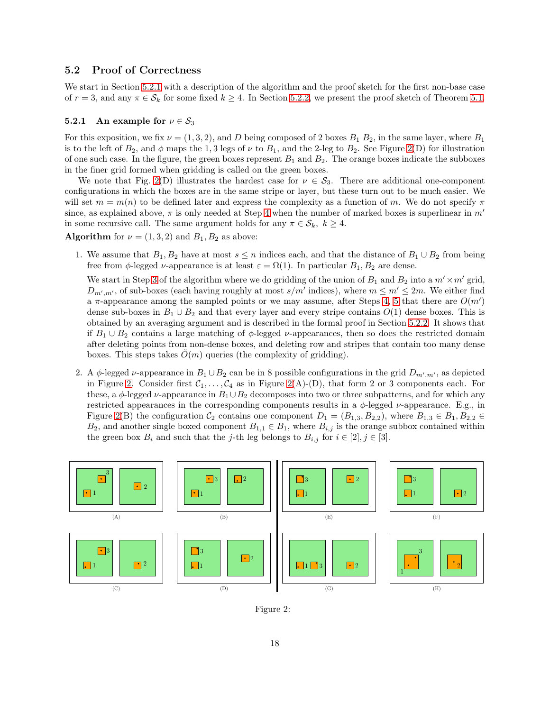### <span id="page-17-0"></span>5.2 Proof of Correctness

We start in Section [5.2.1](#page-17-1) with a description of the algorithm and the proof sketch for the first non-base case of  $r = 3$ , and any  $\pi \in \mathcal{S}_k$  for some fixed  $k \geq 4$ . In Section [5.2.2,](#page-18-0) we present the proof sketch of Theorem [5.1.](#page-15-0)

#### <span id="page-17-1"></span>5.2.1 An example for  $\nu \in S_3$

For this exposition, we fix  $\nu = (1, 3, 2)$ , and D being composed of 2 boxes  $B_1 B_2$ , in the same layer, where  $B_1$ is to the left of  $B_2$ , and  $\phi$  maps the 1,3 legs of  $\nu$  to  $B_1$ , and the 2-leg to  $B_2$ . See Figure [2\(](#page-17-2)D) for illustration of one such case. In the figure, the green boxes represent  $B_1$  and  $B_2$ . The orange boxes indicate the subboxes in the finer grid formed when gridding is called on the green boxes.

We note that Fig. [2\(](#page-17-2)D) illustrates the hardest case for  $\nu \in S_3$ . There are additional one-component configurations in which the boxes are in the same stripe or layer, but these turn out to be much easier. We will set  $m = m(n)$  to be defined later and express the complexity as a function of m. We do not specify  $\pi$ since, as explained above,  $\pi$  is only needed at Step [4](#page-24-1) when the number of marked boxes is superlinear in m' in some recursive call. The same argument holds for any  $\pi \in \mathcal{S}_k$ ,  $k \geq 4$ .

Algorithm for  $\nu = (1, 3, 2)$  and  $B_1, B_2$  as above:

1. We assume that  $B_1, B_2$  have at most  $s \leq n$  indices each, and that the distance of  $B_1 \cup B_2$  from being free from  $\phi$ -legged  $\nu$ -appearance is at least  $\varepsilon = \Omega(1)$ . In particular  $B_1, B_2$  are dense.

We start in Step [3](#page-24-2) of the algorithm where we do gridding of the union of  $B_1$  and  $B_2$  into a  $m' \times m'$  grid,  $D_{m',m'}$ , of sub-boxes (each having roughly at most  $s/m'$  indices), where  $m \le m' \le 2m$ . We either find a  $\pi$ -appearance among the sampled points or we may assume, after Steps [4,](#page-24-1) [5](#page-16-0) that there are  $O(m')$ dense sub-boxes in  $B_1 \cup B_2$  and that every layer and every stripe contains  $O(1)$  dense boxes. This is obtained by an averaging argument and is described in the formal proof in Section [5.2.2.](#page-18-0) It shows that if  $B_1 \cup B_2$  contains a large matching of  $\phi$ -legged  $\nu$ -appearances, then so does the restricted domain after deleting points from non-dense boxes, and deleting row and stripes that contain too many dense boxes. This steps takes  $O(m)$  queries (the complexity of gridding).

2. A φ-legged v-appearance in  $B_1 \cup B_2$  can be in 8 possible configurations in the grid  $D_{m',m'}$ , as depicted in Figure [2.](#page-17-2) Consider first  $C_1, \ldots, C_4$  as in Figure [2\(](#page-17-2)A)-(D), that form 2 or 3 components each. For these, a  $\phi$ -legged  $\nu$ -appearance in  $B_1 \cup B_2$  decomposes into two or three subpatterns, and for which any restricted appearances in the corresponding components results in a  $\phi$ -legged  $\nu$ -appearance. E.g., in Figure [2\(](#page-17-2)B) the configuration  $\mathcal{C}_2$  contains one component  $D_1 = (B_{1,3}, B_{2,2})$ , where  $B_{1,3} \in B_1, B_{2,2} \in$  $B_2$ , and another single boxed component  $B_{1,1} \in B_1$ , where  $B_{i,j}$  is the orange subbox contained within the green box  $B_i$  and such that the j-th leg belongs to  $B_{i,j}$  for  $i \in [2], j \in [3]$ .



<span id="page-17-2"></span>Figure 2: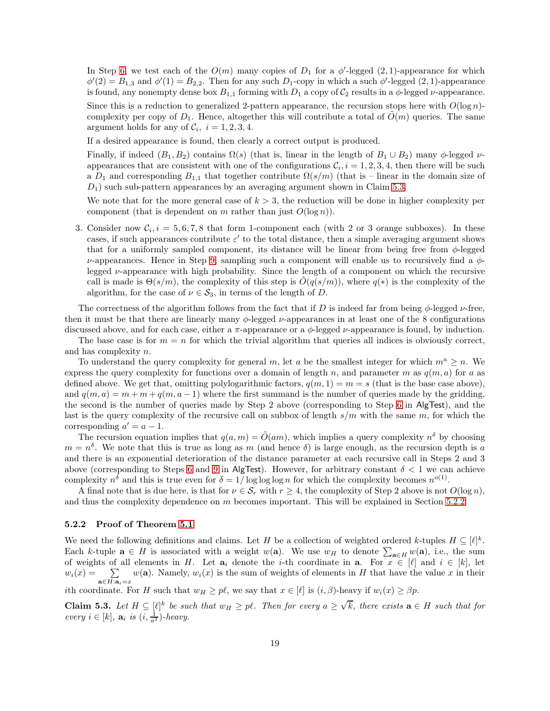In Step [6,](#page-16-1) we test each of the  $O(m)$  many copies of  $D_1$  for a  $\phi'$ -legged  $(2,1)$ -appearance for which  $\phi'(2) = B_{1,3}$  and  $\phi'(1) = B_{2,2}$ . Then for any such  $D_1$ -copy in which a such  $\phi'$ -legged  $(2,1)$ -appearance is found, any nonempty dense box  $B_{1,1}$  forming with  $D_1$  a copy of  $C_2$  results in a  $\phi$ -legged  $\nu$ -appearance.

Since this is a reduction to generalized 2-pattern appearance, the recursion stops here with  $O(\log n)$ complexity per copy of  $D_1$ . Hence, altogether this will contribute a total of  $\tilde{O}(m)$  queries. The same argument holds for any of  $C_i$ ,  $i = 1, 2, 3, 4$ .

If a desired appearance is found, then clearly a correct output is produced.

Finally, if indeed  $(B_1, B_2)$  contains  $\Omega(s)$  (that is, linear in the length of  $B_1 \cup B_2$ ) many  $\phi$ -legged  $\nu$ appearances that are consistent with one of the configurations  $C_i$ ,  $i = 1, 2, 3, 4$ , then there will be such a  $D_1$  and corresponding  $B_{1,1}$  that together contribute  $\Omega(s/m)$  (that is – linear in the domain size of  $D_1$ ) such sub-pattern appearances by an averaging argument shown in Claim [5.3.](#page-18-1)

We note that for the more general case of  $k > 3$ , the reduction will be done in higher complexity per component (that is dependent on m rather than just  $O(\log n)$ ).

3. Consider now  $C_i$ ,  $i = 5, 6, 7, 8$  that form 1-component each (with 2 or 3 orange subboxes). In these cases, if such appearances contribute  $\varepsilon'$  to the total distance, then a simple averaging argument shows that for a uniformly sampled component, its distance will be linear from being free from  $\phi$ -legged  $\nu$ -appearances. Hence in Step [9,](#page-16-2) sampling such a component will enable us to recursively find a  $\phi$ legged  $\nu$ -appearance with high probability. Since the length of a component on which the recursive call is made is  $\Theta(s/m)$ , the complexity of this step is  $O(q(s/m))$ , where  $q(*)$  is the complexity of the algorithm, for the case of  $\nu \in S_3$ , in terms of the length of D.

The correctness of the algorithm follows from the fact that if D is indeed far from being  $\phi$ -legged  $\nu$ -free, then it must be that there are linearly many  $\phi$ -legged  $\nu$ -appearances in at least one of the 8 configurations discussed above, and for each case, either a  $\pi$ -appearance or a  $\phi$ -legged  $\nu$ -appearance is found, by induction.

The base case is for  $m = n$  for which the trivial algorithm that queries all indices is obviously correct, and has complexity n.

To understand the query complexity for general m, let a be the smallest integer for which  $m^a \geq n$ . We express the query complexity for functions over a domain of length n, and parameter m as  $q(m, a)$  for a as defined above. We get that, omitting polylogarithmic factors,  $q(m, 1) = m = s$  (that is the base case above), and  $q(m, a) = m + m + q(m, a - 1)$  where the first summand is the number of queries made by the gridding, the second is the number of queries made by Step 2 above (corresponding to Step [6](#page-16-1) in AlgTest), and the last is the query complexity of the recursive call on subbox of length  $s/m$  with the same m, for which the corresponding  $a' = a - 1$ .

The recursion equation implies that  $q(a,m) = \tilde{O}(am)$ , which implies a query complexity  $n^{\delta}$  by choosing  $m = n<sup>\delta</sup>$ . We note that this is true as long as m (and hence  $\delta$ ) is large enough, as the recursion depth is a and there is an exponential deterioration of the distance parameter at each recursive call in Steps 2 and 3 above (corresponding to Steps [6](#page-16-1) and [9](#page-16-2) in AlgTest). However, for arbitrary constant  $\delta < 1$  we can achieve complexity  $n^{\delta}$  and this is true even for  $\delta = 1/\log \log \log n$  for which the complexity becomes  $n^{o(1)}$ .

A final note that is due here, is that for  $\nu \in S_r$  with  $r \geq 4$ , the complexity of Step 2 above is not  $O(\log n)$ , and thus the complexity dependence on  $m$  becomes important. This will be explained in Section [5.2.2.](#page-18-0)

#### <span id="page-18-0"></span>5.2.2 Proof of Theorem [5.1](#page-15-0)

We need the following definitions and claims. Let H be a collection of weighted ordered k-tuples  $H \subseteq [\ell]^k$ . Each k-tuple  $\mathbf{a} \in H$  is associated with a weight  $w(\mathbf{a})$ . We use  $w_H$  to denote  $\sum_{\mathbf{a} \in H} w(\mathbf{a})$ , i.e., the sum of weights of all elements in H. Let  $a_i$  denote the *i*-th coordinate in a. For  $x \in [\ell]$  and  $i \in [k]$ , let  $w_i(x) = \sum_{\mathbf{a} \in H: \mathbf{a}_i = x} w(\mathbf{a})$ . Namely,  $w_i(x)$  is the sum of weights of elements in H that have the value x in their

<span id="page-18-1"></span>ith coordinate. For H such that  $w_H \geq p\ell$ , we say that  $x \in [\ell]$  is  $(i, \beta)$ -heavy if  $w_i(x) \geq \beta p$ .

**Claim 5.3.** Let  $H \subseteq [\ell]^k$  be such that  $w_H \geq p\ell$ . Then for every  $a \geq \sqrt{k}$ , there exists  $a \in H$  such that for every  $i \in [k]$ ,  $\mathbf{a}_i$  is  $(i, \frac{1}{a^2})$ -heavy.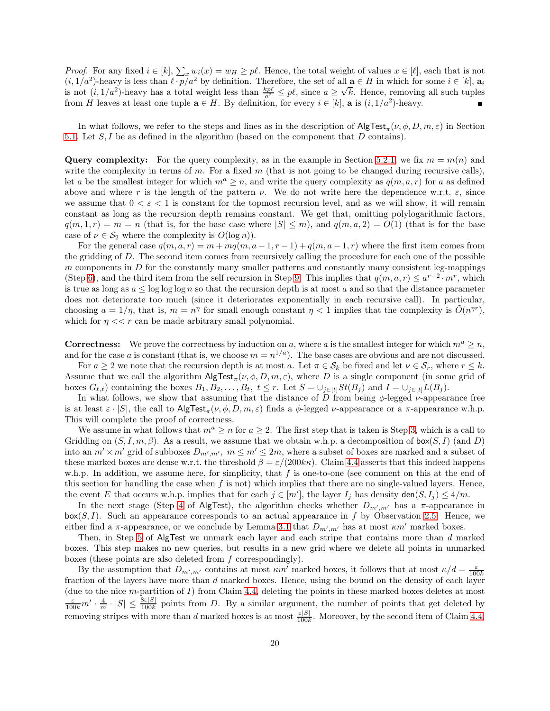*Proof.* For any fixed  $i \in [k]$ ,  $\sum_x w_i(x) = w_H \geq p\ell$ . Hence, the total weight of values  $x \in [\ell]$ , each that is not  $(i, 1/a^2)$ -heavy is less than  $\ell \cdot p/a^2$  by definition. Therefore, the set of all  $a \in H$  in which for some  $i \in [k]$ ,  $a_i$ is not  $(i, 1/a^2)$ -heavy has a total weight less than  $\frac{kp\ell}{a^2} \leq p\ell$ , since  $a \geq \sqrt{k}$ . Hence, removing all such tuples from H leaves at least one tuple  $\mathbf{a} \in H$ . By definition, for every  $i \in [k]$ ,  $\mathbf{a}$  is  $(i, 1/a^2)$ -heavy.

In what follows, we refer to the steps and lines as in the description of  $\mathsf{AlgTest}_{\pi}(\nu,\phi,D,m,\varepsilon)$  in Section [5.1.](#page-15-1) Let S, I be as defined in the algorithm (based on the component that D contains).

**Query complexity:** For the query complexity, as in the example in Section [5.2.1,](#page-17-1) we fix  $m = m(n)$  and write the complexity in terms of m. For a fixed  $m$  (that is not going to be changed during recursive calls), let a be the smallest integer for which  $m^a \geq n$ , and write the query complexity as  $q(m, a, r)$  for a as defined above and where r is the length of the pattern  $\nu$ . We do not write here the dependence w.r.t.  $\varepsilon$ , since we assume that  $0 < \varepsilon < 1$  is constant for the topmost recursion level, and as we will show, it will remain constant as long as the recursion depth remains constant. We get that, omitting polylogarithmic factors,  $q(m, 1, r) = m = n$  (that is, for the base case where  $|S| \le m$ ), and  $q(m, a, 2) = O(1)$  (that is for the base case of  $\nu \in \mathcal{S}_2$  where the complexity is  $O(\log n)$ .

For the general case  $q(m, a, r) = m + mq(m, a - 1, r - 1) + q(m, a - 1, r)$  where the first item comes from the gridding of D. The second item comes from recursively calling the procedure for each one of the possible  $m$  components in  $D$  for the constantly many smaller patterns and constantly many consistent leg-mappings (Step [6\)](#page-16-1), and the third item from the self recursion in Step [9.](#page-16-2) This implies that  $q(m, a, r) \leq a^{r-2} \cdot m^r$ , which is true as long as  $a \le \log \log \log n$  so that the recursion depth is at most a and so that the distance parameter does not deteriorate too much (since it deteriorates exponentially in each recursive call). In particular, choosing  $a = 1/\eta$ , that is,  $m = n^{\eta}$  for small enough constant  $\eta < 1$  implies that the complexity is  $\tilde{O}(n^{\eta r})$ , which for  $\eta \ll r$  can be made arbitrary small polynomial.

**Correctness:** We prove the correctness by induction on a, where a is the smallest integer for which  $m^a \geq n$ , and for the case a is constant (that is, we choose  $m = n^{1/a}$ ). The base cases are obvious and are not discussed.

For  $a \geq 2$  we note that the recursion depth is at most a. Let  $\pi \in \mathcal{S}_k$  be fixed and let  $\nu \in \mathcal{S}_r$ , where  $r \leq k$ . Assume that we call the algorithm  $\mathsf{AlgTest}_{\pi}(\nu, \phi, D, m, \varepsilon)$ , where D is a single component (in some grid of boxes  $G_{\ell,\ell}$ ) containing the boxes  $B_1, B_2, \ldots, B_t, t \leq r$ . Let  $S = \bigcup_{j \in [t]} St(B_j)$  and  $I = \bigcup_{j \in [t]} L(B_j)$ .

In what follows, we show that assuming that the distance of D from being  $\phi$ -legged  $\nu$ -appearance free is at least  $\varepsilon \cdot |S|$ , the call to  $\mathsf{AlgTest}_{\pi}(\nu, \phi, D, m, \varepsilon)$  finds a  $\phi$ -legged  $\nu$ -appearance or a  $\pi$ -appearance w.h.p. This will complete the proof of correctness.

We assume in what follows that  $m^a \geq n$  for  $a \geq 2$ . The first step that is taken is Step [3,](#page-24-2) which is a call to Gridding on  $(S, I, m, \beta)$ . As a result, we assume that we obtain w.h.p. a decomposition of box(S, I) (and D) into an  $m' \times m'$  grid of subboxes  $D_{m',m'}$ ,  $m \leq m' \leq 2m$ , where a subset of boxes are marked and a subset of these marked boxes are dense w.r.t. the threshold  $\beta = \varepsilon/(200k\kappa)$ . Claim [4.4](#page-14-1) asserts that this indeed happens w.h.p. In addition, we assume here, for simplicity, that f is one-to-one (see comment on this at the end of this section for handling the case when  $f$  is not) which implies that there are no single-valued layers. Hence, the event E that occurs w.h.p. implies that for each  $j \in [m']$ , the layer  $I_j$  has density  $\text{den}(S, I_j) \leq 4/m$ .

In the next stage (Step [4](#page-24-1) of AlgTest), the algorithm checks whether  $D_{m',m'}$  has a  $\pi$ -appearance in  $b\alpha(S, I)$ . Such an appearance corresponds to an actual appearance in f by Observation [2.5.](#page-6-0) Hence, we either find a  $\pi$ -appearance, or we conclude by Lemma [3.1](#page-9-1) that  $D_{m',m'}$  has at most  $\kappa m'$  marked boxes.

Then, in Step [5](#page-16-0) of AlgTest we unmark each layer and each stripe that contains more than d marked boxes. This step makes no new queries, but results in a new grid where we delete all points in unmarked boxes (these points are also deleted from f correspondingly).

By the assumption that  $D_{m',m'}$  contains at most  $\kappa m'$  marked boxes, it follows that at most  $\kappa/d = \frac{\varepsilon}{100k}$ fraction of the layers have more than d marked boxes. Hence, using the bound on the density of each layer (due to the nice m-partition of  $I$ ) from Claim [4.4,](#page-14-1) deleting the points in these marked boxes deletes at most  $\frac{\varepsilon}{100k}m' \cdot \frac{4}{m} \cdot |S| \leq \frac{8\varepsilon|S|}{100k}$  points from D. By a similar argument, the number of points that get deleted by removing stripes with more than d marked boxes is at most  $\frac{\varepsilon|S|}{100k}$ . Moreover, by the second item of Claim [4.4,](#page-14-1)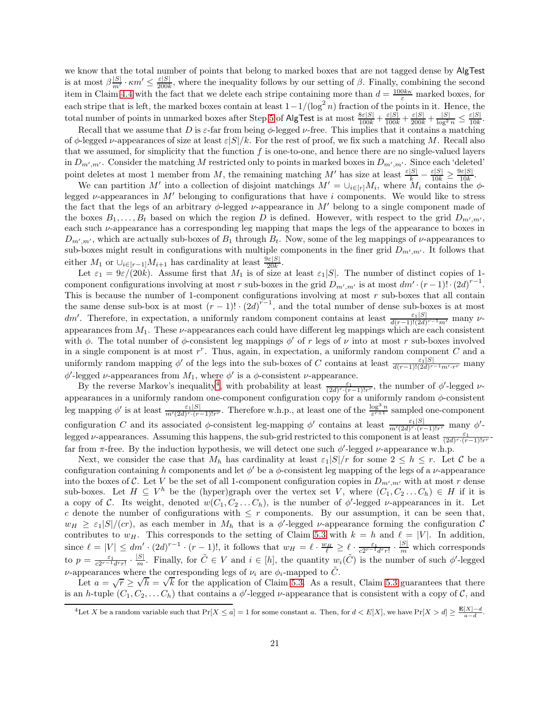we know that the total number of points that belong to marked boxes that are not tagged dense by AlgTest is at most  $\beta \frac{|S|}{m'} \cdot \kappa m' \leq \frac{\varepsilon |S|}{200k}$  $\frac{\varepsilon|S|}{200k}$ , where the inequality follows by our setting of  $\beta$ . Finally, combining the second item in Claim [4.4](#page-14-1) with the fact that we delete each stripe containing more than  $d = \frac{100k\kappa}{\varepsilon}$  marked boxes, for each stripe that is left, the marked boxes contain at least  $1-1/(\log^2 n)$  fraction of the points in it. Hence, the total number of points in unmarked boxes after Step [5](#page-16-0) of AlgTest is at most  $\frac{8\varepsilon|S|}{100k} + \frac{\varepsilon|S|}{100k} + \frac{\varepsilon|S|}{200k} + \frac{|S|}{\log^2 n} \le \frac{\varepsilon|S|}{10k}$  $10k$ .

Recall that we assume that D is  $\varepsilon$ -far from being  $\phi$ -legged  $\nu$ -free. This implies that it contains a matching of  $\phi$ -legged  $\nu$ -appearances of size at least  $\varepsilon|S|/k$ . For the rest of proof, we fix such a matching M. Recall also that we assumed, for simplicity that the function f is one-to-one, and hence there are no single-valued layers in  $D_{m',m'}$ . Consider the matching M restricted only to points in marked boxes in  $D_{m',m'}$ . Since each 'deleted' point deletes at most 1 member from M, the remaining matching M' has size at least  $\frac{\varepsilon|S|}{k} - \frac{\varepsilon|S|}{10k} \ge \frac{9\varepsilon|S|}{10k}$  $\frac{\sqrt{\varepsilon}|\mathcal{S}|}{10k}$ .

We can partition M' into a collection of disjoint matchings  $M' = \bigcup_{i \in [r]} M_i$ , where  $M_i$  contains the  $\phi$ legged  $\nu$ -appearances in M' belonging to configurations that have i components. We would like to stress the fact that the legs of an arbitrary  $\phi$ -legged  $\nu$ -appearance in M' belong to a single component made of the boxes  $B_1, \ldots, B_t$  based on which the region D is defined. However, with respect to the grid  $D_{m',m'}$ , each such  $\nu$ -appearance has a corresponding leg mapping that maps the legs of the appearance to boxes in  $D_{m',m'}$ , which are actually sub-boxes of  $B_1$  through  $B_t$ . Now, some of the leg mappings of  $\nu$ -appearances to sub-boxes might result in configurations with multiple components in the finer grid  $D_{m',m'}$ . It follows that either  $M_1$  or  $\cup_{i\in[r-1]}M_{i+1}$  has cardinality at least  $\frac{9\varepsilon|S|}{20k}$ .

Let  $\varepsilon_1 = 9\varepsilon/(20k)$ . Assume first that  $M_1$  is of size at least  $\varepsilon_1|S|$ . The number of distinct copies of 1component configurations involving at most r sub-boxes in the grid  $D_{m',m'}$  is at most  $dm' \cdot (r-1)! \cdot (2d)^{r-1}$ . This is because the number of 1-component configurations involving at most  $r$  sub-boxes that all contain the same dense sub-box is at most  $(r-1)! \cdot (2d)^{r-1}$ , and the total number of dense sub-boxes is at most dm'. Therefore, in expectation, a uniformly random component contains at least  $\frac{\varepsilon_1|S|}{d(r-1)!(2d)^{r-1}m'}$  many  $\nu$ appearances from  $M_1$ . These  $\nu$ -appearances each could have different leg mappings which are each consistent with  $\phi$ . The total number of  $\phi$ -consistent leg mappings  $\phi'$  of r legs of  $\nu$  into at most r sub-boxes involved in a single component is at most  $r^r$ . Thus, again, in expectation, a uniformly random component  $C$  and a uniformly random mapping  $\phi'$  of the legs into the sub-boxes of C contains at least  $\frac{\varepsilon_1|S|}{d(r-1)!(2d)^{r-1}m'\cdot r^r}$  many  $\phi'$ -legged *ν*-appearances from  $M_1$ , where  $\phi'$  is a  $\phi$ -consistent *ν*-appearance.

By the reverse Markov's inequality<sup>[4](#page-20-0)</sup>, with probability at least  $\frac{\varepsilon_1}{(2d)^r \cdot (r-1)!r^r}$ , the number of  $\phi'$ -legged vappearances in a uniformly random one-component configuration copy for a uniformly random  $\phi$ -consistent leg mapping  $\phi'$  is at least  $\frac{\varepsilon_1|S|}{m'(2d)^r \cdot (r-1)!r^r}$ . Therefore w.h.p., at least one of the  $\frac{\log^3 n}{\varepsilon^{r+1}}$  sampled one-component configuration C and its associated  $\phi$ -consistent leg-mapping  $\phi'$  contains at least  $\frac{\varepsilon_1|S|}{m'(2d)^r \cdot (r-1)!r^r}$  many  $\phi'$ legged v-appearances. Assuming this happens, the sub-grid restricted to this component is at least  $\frac{\varepsilon_1}{(2d)^r \cdot (r-1)!r^r}$ far from  $\pi$ -free. By the induction hypothesis, we will detect one such  $\phi'$ -legged  $\nu$ -appearance w.h.p.

Next, we consider the case that  $M_h$  has cardinality at least  $\varepsilon_1|S|/r$  for some  $2 \leq h \leq r$ . Let C be a configuration containing h components and let  $\phi'$  be a  $\phi$ -consistent leg mapping of the legs of a  $\nu$ -appearance into the boxes of C. Let V be the set of all 1-component configuration copies in  $D_{m',m'}$  with at most r dense sub-boxes. Let  $H \subseteq V^h$  be the (hyper)graph over the vertex set V, where  $(C_1, C_2 \dots C_h) \in H$  if it is a copy of C. Its weight, denoted  $w(C_1, C_2 \ldots C_h)$ , is the number of  $\phi'$ -legged  $\nu$ -appearances in it. Let c denote the number of configurations with  $\leq r$  components. By our assumption, it can be seen that,  $w_H \geq \varepsilon_1 |S|/(cr)$ , as each member in  $M_h$  that is a  $\phi'$ -legged  $\nu$ -appearance forming the configuration C contributes to  $w_H$ . This corresponds to the setting of Claim [5.3](#page-18-1) with  $k = h$  and  $\ell = |V|$ . In addition, since  $\ell = |V| \leq dm' \cdot (2d)^{r-1} \cdot (r-1)!$ , it follows that  $w_H = \ell \cdot \frac{w_H}{\ell} \geq \ell \cdot \frac{\varepsilon_1}{c2^{r-1}drr!} \cdot \frac{|S|}{m}$  which corresponds to  $p = \frac{\varepsilon_1}{c2^{r-1}d^r r!} \cdot \frac{|S|}{m}$ . Finally, for  $\tilde{C} \in V$  and  $i \in [h]$ , the quantity  $w_i(\tilde{C})$  is the number of such  $\phi'$ -legged v-appearances where the corresponding legs of  $\nu_i$  are  $\phi_i$ -mapped to  $\tilde{C}$ .

Let  $a = \sqrt{r} \ge \sqrt{h} = \sqrt{k}$  for the application of Claim [5.3.](#page-18-1) As a result, Claim [5.3](#page-18-1) guarantees that there is an h-tuple  $(C_1, C_2, \ldots, C_h)$  that contains a  $\phi'$ -legged  $\nu$ -appearance that is consistent with a copy of  $\mathcal{C}$ , and

<span id="page-20-0"></span><sup>&</sup>lt;sup>4</sup>Let X be a random variable such that  $Pr[X \le a] = 1$  for some constant a. Then, for  $d < E[X]$ , we have  $Pr[X > d] \ge \frac{E[X] - d}{a - d}$ .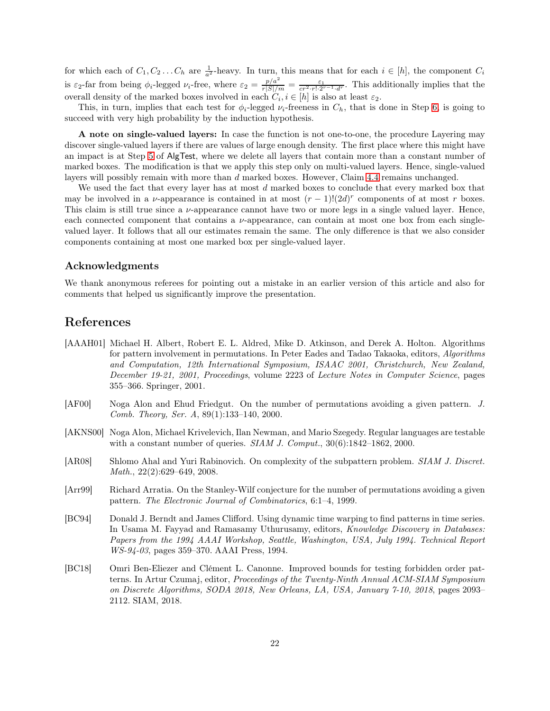for which each of  $C_1, C_2 \ldots C_h$  are  $\frac{1}{a^2}$ -heavy. In turn, this means that for each  $i \in [h]$ , the component  $C_i$ is  $\varepsilon_2$ -far from being  $\phi_i$ -legged  $\nu_i$ -free, where  $\varepsilon_2 = \frac{p/a^2}{r|S|/m} = \frac{\varepsilon_1}{cr^2 \cdot r! \cdot 2^{r-1} \cdot d^r}$ . This additionally implies that the overall density of the marked boxes involved in each  $C_i, i \in [h]$  is also at least  $\varepsilon_2$ .

This, in turn, implies that each test for  $\phi_i$ -legged  $\nu_i$ -freeness in  $C_h$ , that is done in Step [6,](#page-16-1) is going to succeed with very high probability by the induction hypothesis.

A note on single-valued layers: In case the function is not one-to-one, the procedure Layering may discover single-valued layers if there are values of large enough density. The first place where this might have an impact is at Step [5](#page-16-0) of AlgTest, where we delete all layers that contain more than a constant number of marked boxes. The modification is that we apply this step only on multi-valued layers. Hence, single-valued layers will possibly remain with more than d marked boxes. However, Claim [4.4](#page-14-1) remains unchanged.

We used the fact that every layer has at most  $d$  marked boxes to conclude that every marked box that may be involved in a v-appearance is contained in at most  $(r-1)!(2d)^r$  components of at most r boxes. This claim is still true since a  $\nu$ -appearance cannot have two or more legs in a single valued layer. Hence, each connected component that contains a ν-appearance, can contain at most one box from each singlevalued layer. It follows that all our estimates remain the same. The only difference is that we also consider components containing at most one marked box per single-valued layer.

### Acknowledgments

We thank anonymous referees for pointing out a mistake in an earlier version of this article and also for comments that helped us significantly improve the presentation.

# References

- <span id="page-21-3"></span>[AAAH01] Michael H. Albert, Robert E. L. Aldred, Mike D. Atkinson, and Derek A. Holton. Algorithms for pattern involvement in permutations. In Peter Eades and Tadao Takaoka, editors, Algorithms and Computation, 12th International Symposium, ISAAC 2001, Christchurch, New Zealand, December 19-21, 2001, Proceedings, volume 2223 of Lecture Notes in Computer Science, pages 355–366. Springer, 2001.
- <span id="page-21-2"></span>[AF00] Noga Alon and Ehud Friedgut. On the number of permutations avoiding a given pattern. J. Comb. Theory, Ser. A, 89(1):133–140, 2000.
- <span id="page-21-5"></span>[AKNS00] Noga Alon, Michael Krivelevich, Ilan Newman, and Mario Szegedy. Regular languages are testable with a constant number of queries.  $SIAM J. Comput.$ ,  $30(6):1842-1862$ ,  $2000$ .
- <span id="page-21-4"></span>[AR08] Shlomo Ahal and Yuri Rabinovich. On complexity of the subpattern problem. SIAM J. Discret. Math., 22(2):629–649, 2008.
- <span id="page-21-1"></span>[Arr99] Richard Arratia. On the Stanley-Wilf conjecture for the number of permutations avoiding a given pattern. The Electronic Journal of Combinatorics, 6:1–4, 1999.
- [BC94] Donald J. Berndt and James Clifford. Using dynamic time warping to find patterns in time series. In Usama M. Fayyad and Ramasamy Uthurusamy, editors, Knowledge Discovery in Databases: Papers from the 1994 AAAI Workshop, Seattle, Washington, USA, July 1994. Technical Report WS-94-03, pages 359–370. AAAI Press, 1994.
- <span id="page-21-0"></span>[BC18] Omri Ben-Eliezer and Clément L. Canonne. Improved bounds for testing forbidden order patterns. In Artur Czumaj, editor, Proceedings of the Twenty-Ninth Annual ACM-SIAM Symposium on Discrete Algorithms, SODA 2018, New Orleans, LA, USA, January 7-10, 2018, pages 2093– 2112. SIAM, 2018.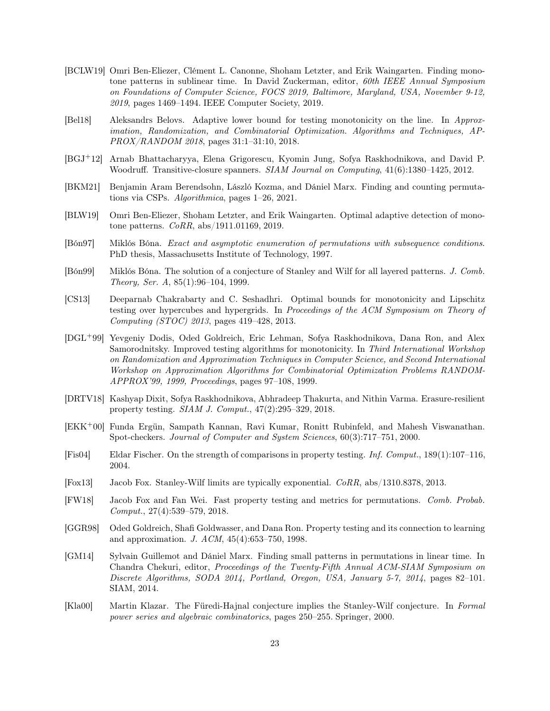- <span id="page-22-13"></span>[BCLW19] Omri Ben-Eliezer, Clément L. Canonne, Shoham Letzter, and Erik Waingarten. Finding monotone patterns in sublinear time. In David Zuckerman, editor, 60th IEEE Annual Symposium on Foundations of Computer Science, FOCS 2019, Baltimore, Maryland, USA, November 9-12, 2019, pages 1469–1494. IEEE Computer Society, 2019.
- <span id="page-22-10"></span>[Bel18] Aleksandrs Belovs. Adaptive lower bound for testing monotonicity on the line. In Approximation, Randomization, and Combinatorial Optimization. Algorithms and Techniques, AP-PROX/RANDOM 2018, pages 31:1–31:10, 2018.
- <span id="page-22-8"></span>[BGJ+12] Arnab Bhattacharyya, Elena Grigorescu, Kyomin Jung, Sofya Raskhodnikova, and David P. Woodruff. Transitive-closure spanners. SIAM Journal on Computing, 41(6):1380–1425, 2012.
- <span id="page-22-3"></span>[BKM21] Benjamin Aram Berendsohn, László Kozma, and Dániel Marx. Finding and counting permutations via CSPs. Algorithmica, pages 1–26, 2021.
- <span id="page-22-14"></span>[BLW19] Omri Ben-Eliezer, Shoham Letzter, and Erik Waingarten. Optimal adaptive detection of monotone patterns. CoRR, abs/1911.01169, 2019.
- <span id="page-22-0"></span>[Bón97] Miklós Bóna. Exact and asymptotic enumeration of permutations with subsequence conditions. PhD thesis, Massachusetts Institute of Technology, 1997.
- <span id="page-22-1"></span>[Bón99] Miklós Bóna. The solution of a conjecture of Stanley and Wilf for all layered patterns. J. Comb. Theory, Ser. A, 85(1):96–104, 1999.
- <span id="page-22-9"></span>[CS13] Deeparnab Chakrabarty and C. Seshadhri. Optimal bounds for monotonicity and Lipschitz testing over hypercubes and hypergrids. In Proceedings of the ACM Symposium on Theory of Computing (STOC) 2013, pages 419–428, 2013.
- <span id="page-22-6"></span>[DGL+99] Yevgeniy Dodis, Oded Goldreich, Eric Lehman, Sofya Raskhodnikova, Dana Ron, and Alex Samorodnitsky. Improved testing algorithms for monotonicity. In Third International Workshop on Randomization and Approximation Techniques in Computer Science, and Second International Workshop on Approximation Algorithms for Combinatorial Optimization Problems RANDOM-APPROX'99, 1999, Proceedings, pages 97–108, 1999.
- <span id="page-22-11"></span>[DRTV18] Kashyap Dixit, Sofya Raskhodnikova, Abhradeep Thakurta, and Nithin Varma. Erasure-resilient property testing. SIAM J. Comput., 47(2):295–329, 2018.
- <span id="page-22-7"></span>[EKK+00] Funda Ergün, Sampath Kannan, Ravi Kumar, Ronitt Rubinfeld, and Mahesh Viswanathan. Spot-checkers. Journal of Computer and System Sciences, 60(3):717–751, 2000.
- <span id="page-22-15"></span>[Fis04] Eldar Fischer. On the strength of comparisons in property testing. Inf. Comput., 189(1):107–116, 2004.
- <span id="page-22-5"></span>[Fox13] Jacob Fox. Stanley-Wilf limits are typically exponential. CoRR, abs/1310.8378, 2013.
- <span id="page-22-16"></span>[FW18] Jacob Fox and Fan Wei. Fast property testing and metrics for permutations. Comb. Probab. Comput., 27(4):539–579, 2018.
- <span id="page-22-12"></span>[GGR98] Oded Goldreich, Shafi Goldwasser, and Dana Ron. Property testing and its connection to learning and approximation. J. ACM, 45(4):653–750, 1998.
- <span id="page-22-4"></span>[GM14] Sylvain Guillemot and Dániel Marx. Finding small patterns in permutations in linear time. In Chandra Chekuri, editor, Proceedings of the Twenty-Fifth Annual ACM-SIAM Symposium on Discrete Algorithms, SODA 2014, Portland, Oregon, USA, January 5-7, 2014, pages 82–101. SIAM, 2014.
- <span id="page-22-2"></span>[Kla00] Martin Klazar. The Füredi-Hajnal conjecture implies the Stanley-Wilf conjecture. In Formal power series and algebraic combinatorics, pages 250–255. Springer, 2000.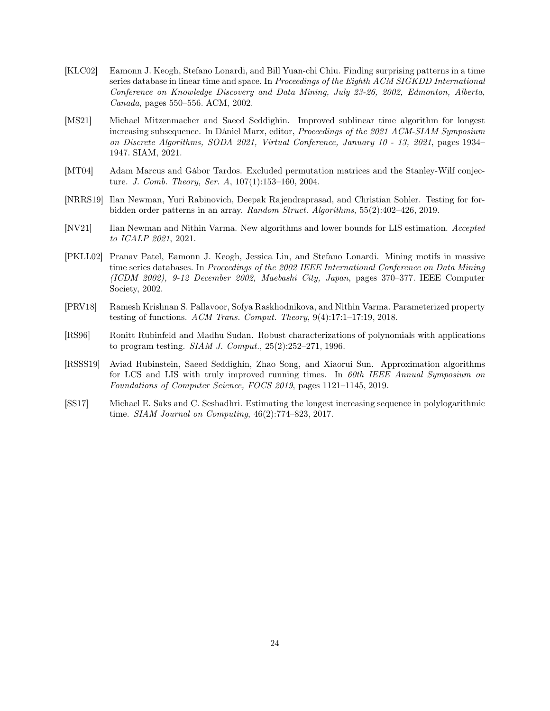- [KLC02] Eamonn J. Keogh, Stefano Lonardi, and Bill Yuan-chi Chiu. Finding surprising patterns in a time series database in linear time and space. In *Proceedings of the Eighth ACM SIGKDD International* Conference on Knowledge Discovery and Data Mining, July 23-26, 2002, Edmonton, Alberta, Canada, pages 550–556. ACM, 2002.
- <span id="page-23-6"></span>[MS21] Michael Mitzenmacher and Saeed Seddighin. Improved sublinear time algorithm for longest increasing subsequence. In Dániel Marx, editor, Proceedings of the 2021 ACM-SIAM Symposium on Discrete Algorithms, SODA 2021, Virtual Conference, January 10 - 13, 2021, pages 1934– 1947. SIAM, 2021.
- <span id="page-23-1"></span>[MT04] Adam Marcus and Gábor Tardos. Excluded permutation matrices and the Stanley-Wilf conjecture. J. Comb. Theory, Ser. A, 107(1):153–160, 2004.
- <span id="page-23-0"></span>[NRRS19] Ilan Newman, Yuri Rabinovich, Deepak Rajendraprasad, and Christian Sohler. Testing for forbidden order patterns in an array. Random Struct. Algorithms, 55(2):402–426, 2019.
- <span id="page-23-7"></span>[NV21] Ilan Newman and Nithin Varma. New algorithms and lower bounds for LIS estimation. Accepted to ICALP 2021, 2021.
- [PKLL02] Pranav Patel, Eamonn J. Keogh, Jessica Lin, and Stefano Lonardi. Mining motifs in massive time series databases. In Proceedings of the 2002 IEEE International Conference on Data Mining (ICDM 2002), 9-12 December 2002, Maebashi City, Japan, pages 370–377. IEEE Computer Society, 2002.
- <span id="page-23-2"></span>[PRV18] Ramesh Krishnan S. Pallavoor, Sofya Raskhodnikova, and Nithin Varma. Parameterized property testing of functions. ACM Trans. Comput. Theory, 9(4):17:1–17:19, 2018.
- <span id="page-23-3"></span>[RS96] Ronitt Rubinfeld and Madhu Sudan. Robust characterizations of polynomials with applications to program testing. *SIAM J. Comput.*,  $25(2):252-271$ , 1996.
- <span id="page-23-5"></span>[RSSS19] Aviad Rubinstein, Saeed Seddighin, Zhao Song, and Xiaorui Sun. Approximation algorithms for LCS and LIS with truly improved running times. In 60th IEEE Annual Symposium on Foundations of Computer Science, FOCS 2019, pages 1121–1145, 2019.
- <span id="page-23-4"></span>[SS17] Michael E. Saks and C. Seshadhri. Estimating the longest increasing sequence in polylogarithmic time. SIAM Journal on Computing, 46(2):774–823, 2017.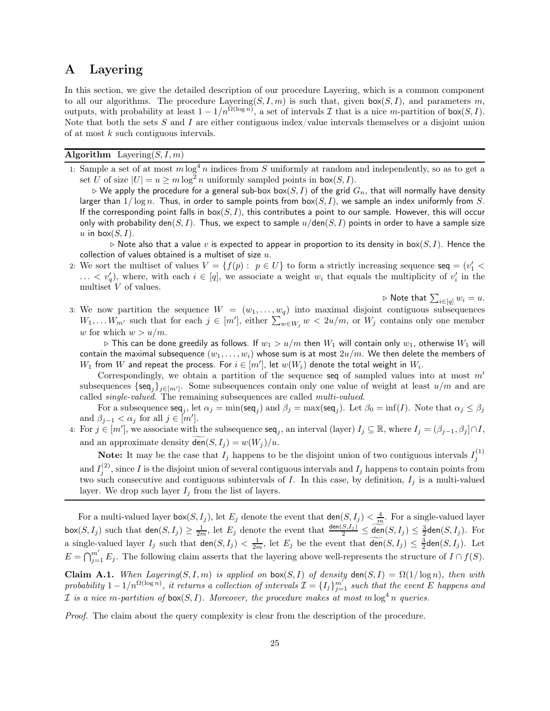## <span id="page-24-0"></span>A Layering

In this section, we give the detailed description of our procedure Layering, which is a common component to all our algorithms. The procedure Layering( $S, I, m$ ) is such that, given box( $S, I$ ), and parameters m, outputs, with probability at least  $1 - 1/n^{\Omega(\log n)}$ , a set of intervals  $\mathcal I$  that is a nice m-partition of box( $S, I$ ). Note that both the sets  $S$  and  $I$  are either contiguous index/value intervals themselves or a disjoint union of at most k such contiguous intervals.

### Algorithm Layering $(S, I, m)$

1: Sample a set of at most  $m \log^4 n$  indices from S uniformly at random and independently, so as to get a set U of size  $|U| = u \ge m \log^2 n$  uniformly sampled points in  $\text{box}(S, I)$ .

 $\triangleright$  We apply the procedure for a general sub-box box(S, I) of the grid  $G_n$ , that will normally have density larger than  $1/\log n$ . Thus, in order to sample points from  $b\alpha(S, I)$ , we sample an index uniformly from S. If the corresponding point falls in  $box(S, I)$ , this contributes a point to our sample. However, this will occur only with probability den(S, I). Thus, we expect to sample  $u/\text{den}(S, I)$  points in order to have a sample size u in box $(S, I)$ .

 $\triangleright$  Note also that a value v is expected to appear in proportion to its density in box(S, I). Hence the collection of values obtained is a multiset of size  $u$ .

2: We sort the multiset of values  $V = \{f(p) : p \in U\}$  to form a strictly increasing sequence  $\text{seq} = (v_1' < v_2')$  $\dots < v'_q$ , where, with each  $i \in [q]$ , we associate a weight  $w_i$  that equals the multiplicity of  $v'_i$  in the multiset V of values.

▷ Note that  $\sum_{i \in [q]} w_i = u$ .

<span id="page-24-2"></span>3: We now partition the sequence  $W = (w_1, \ldots, w_q)$  into maximal disjoint contiguous subsequences  $W_1, \ldots, W_{m'}$  such that for each  $j \in [m']$ , either  $\sum_{w \in W_j}^{q} w < 2u/m$ , or  $W_j$  contains only one member w for which  $w > u/m$ .

 $\triangleright$  This can be done greedily as follows. If  $w_1 > u/m$  then  $W_1$  will contain only  $w_1$ , otherwise  $W_1$  will contain the maximal subsequence  $(w_1, \ldots, w_i)$  whose sum is at most  $2u/m$ . We then delete the members of  $W_1$  from  $W$  and repeat the process. For  $i \in [m'],$  let  $w(W_i)$  denote the total weight in  $W_i$ .

Correspondingly, we obtain a partition of the sequence seq of sampled values into at most  $m'$ subsequences  $\{\mathsf{seq}_j\}_{j\in[m']}$ . Some subsequences contain only one value of weight at least  $u/m$  and are called single-valued. The remaining subsequences are called multi-valued.

For a subsequence  $\mathsf{seq}_j$ , let  $\alpha_j = \min(\mathsf{seq}_j)$  and  $\beta_j = \max(\mathsf{seq}_j)$ . Let  $\beta_0 = \inf(I)$ . Note that  $\alpha_j \leq \beta_j$ and  $\beta_{j-1} < \alpha_j$  for all  $j \in [m']$ .

<span id="page-24-1"></span>4: For  $j \in [m']$ , we associate with the subsequence  $\text{seq}_j$ , an interval (layer)  $I_j \subseteq \mathbb{R}$ , where  $I_j = (\beta_{j-1}, \beta_j] \cap I$ , and an approximate density  $\text{den}(S, I_i) = w(W_i)/u$ .

**Note:** It may be the case that  $I_j$  happens to be the disjoint union of two contiguous intervals  $I_j^{(1)}$ and  $I_i^{(2)}$  $j^{(2)}$ , since I is the disjoint union of several contiguous intervals and  $I_j$  happens to contain points from two such consecutive and contiguous subintervals of I. In this case, by definition,  $I_j$  is a multi-valued layer. We drop such layer  $I_j$  from the list of layers.

For a multi-valued layer box(S, I<sub>j</sub>), let  $E_j$  denote the event that  $\textsf{den}(S, I_j) < \frac{4}{m}$ . For a single-valued layer  $\mathsf{box}(S, I_j)$  such that  $\mathsf{den}(S, I_j) \geq \frac{1}{2m}$ , let  $E_j$  denote the event that  $\frac{\mathsf{den}(S, I_j)}{2} \leq \underbrace{\widetilde{\mathsf{den}}}(S, I_j) \leq \frac{3}{2}\mathsf{den}(S, I_j)$ . For a single-valued layer  $I_j$  such that  $\text{den}(S, I_j) < \frac{1}{2m}$ , let  $E_j$  be the event that  $\text{den}(S, I_j) \leq \frac{3}{2}\text{den}(S, I_j)$ . Let  $E = \bigcap_{j=1}^{m'} E_j$ . The following claim asserts that the layering above well-represents the structure of  $I \cap f(S)$ .

Claim A.1. When Layering(S, I, m) is applied on box(S, I) of density den(S, I) =  $\Omega(1/\log n)$ , then with probability  $1-1/n^{\Omega(\log n)}$ , it returns a collection of intervals  $\mathcal{I} = \{I_j\}_{j=1}^{m'}$  such that the event E happens and *I* is a nice m-partition of  $\text{box}(S, I)$ . Moreover, the procedure makes at most m  $\log^4 n$  queries.

Proof. The claim about the query complexity is clear from the description of the procedure.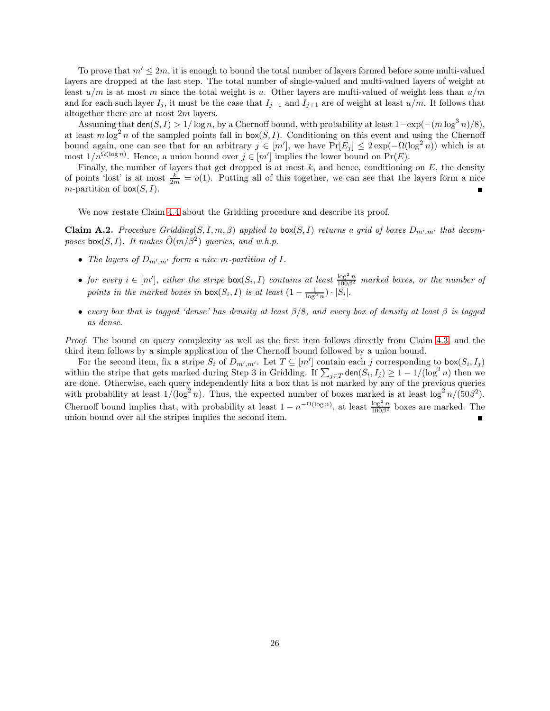To prove that  $m' \leq 2m$ , it is enough to bound the total number of layers formed before some multi-valued layers are dropped at the last step. The total number of single-valued and multi-valued layers of weight at least  $u/m$  is at most m since the total weight is u. Other layers are multi-valued of weight less than  $u/m$ and for each such layer  $I_j$ , it must be the case that  $I_{j-1}$  and  $I_{j+1}$  are of weight at least  $u/m$ . It follows that altogether there are at most 2m layers.

Assuming that den(S, I) > 1/ log n, by a Chernoff bound, with probability at least  $1-\exp(-(m \log^3 n)/8)$ , at least  $m \log^2 n$  of the sampled points fall in  $\mathsf{box}(S, I)$ . Conditioning on this event and using the Chernoff bound again, one can see that for an arbitrary  $j \in [m']$ , we have  $\Pr[\bar{E}_j] \leq 2 \exp(-\Omega(\log^2 n))$  which is at most  $1/n^{\Omega(\log n)}$ . Hence, a union bound over  $j \in [m']$  implies the lower bound on  $Pr(E)$ .

Finally, the number of layers that get dropped is at most  $k$ , and hence, conditioning on  $E$ , the density of points 'lost' is at most  $\frac{k}{2m} = o(1)$ . Putting all of this together, we can see that the layers form a nice m-partition of  $\textsf{box}(S, I)$ .  $\blacksquare$ 

We now restate Claim [4.4](#page-14-1) about the Gridding procedure and describe its proof.

**Claim A.2.** Procedure Gridding(S, I, m,  $\beta$ ) applied to box(S, I) returns a grid of boxes  $D_{m',m'}$  that decomposes box(S, I). It makes  $\tilde{O}(m/\beta^2)$  queries, and w.h.p.

- The layers of  $D_{m',m'}$  form a nice m-partition of I.
- for every  $i \in [m']$ , either the stripe  $\text{box}(S_i, I)$  contains at least  $\frac{\log^2 n}{100\beta^2}$  marked boxes, or the number of points in the marked boxes in  $\text{box}(S_i, I)$  is at least  $(1 - \frac{1}{\log^2 n}) \cdot |S_i|$ .
- every box that is tagged 'dense' has density at least  $\beta/8$ , and every box of density at least  $\beta$  is tagged as dense.

Proof. The bound on query complexity as well as the first item follows directly from Claim [4.3,](#page-13-1) and the third item follows by a simple application of the Chernoff bound followed by a union bound.

For the second item, fix a stripe  $S_i$  of  $D_{m',m'}$ . Let  $T \subseteq [m']$  contain each j corresponding to  $\mathsf{box}(S_i, I_j)$ within the stripe that gets marked during Step 3 in Gridding. If  $\sum_{j\in T}$  den $(S_i, I_j) \geq 1 - 1/(\log^2 n)$  then we are done. Otherwise, each query independently hits a box that is not marked by any of the previous queries with probability at least  $1/(\log^2 n)$ . Thus, the expected number of boxes marked is at least  $\log^2 n/(50\beta^2)$ . Chernoff bound implies that, with probability at least  $1 - n^{-\Omega(\log n)}$ , at least  $\frac{\log^2 n}{100\beta^2}$  boxes are marked. The union bound over all the stripes implies the second item.